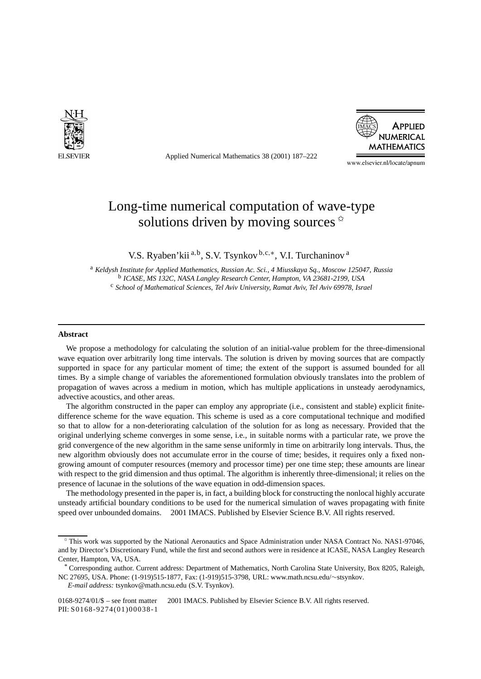

Applied Numerical Mathematics 38 (2001) 187–222



www.elsevier.nl/locate/apnum

# Long-time numerical computation of wave-type solutions driven by moving sources  $\dot{\alpha}$

V.S. Ryaben'kii <sup>a</sup>*,*b, S.V. Tsynkov <sup>b</sup>*,*c*,*∗, V.I. Turchaninov <sup>a</sup>

<sup>a</sup> *Keldysh Institute for Applied Mathematics, Russian Ac. Sci., 4 Miusskaya Sq., Moscow 125047, Russia* <sup>b</sup> *ICASE, MS 132C, NASA Langley Research Center, Hampton, VA 23681-2199, USA* <sup>c</sup> *School of Mathematical Sciences, Tel Aviv University, Ramat Aviv, Tel Aviv 69978, Israel*

#### **Abstract**

We propose a methodology for calculating the solution of an initial-value problem for the three-dimensional wave equation over arbitrarily long time intervals. The solution is driven by moving sources that are compactly supported in space for any particular moment of time; the extent of the support is assumed bounded for all times. By a simple change of variables the aforementioned formulation obviously translates into the problem of propagation of waves across a medium in motion, which has multiple applications in unsteady aerodynamics, advective acoustics, and other areas.

The algorithm constructed in the paper can employ any appropriate (i.e., consistent and stable) explicit finitedifference scheme for the wave equation. This scheme is used as a core computational technique and modified so that to allow for a non-deteriorating calculation of the solution for as long as necessary. Provided that the original underlying scheme converges in some sense, i.e., in suitable norms with a particular rate, we prove the grid convergence of the new algorithm in the same sense uniformly in time on arbitrarily long intervals. Thus, the new algorithm obviously does not accumulate error in the course of time; besides, it requires only a fixed nongrowing amount of computer resources (memory and processor time) per one time step; these amounts are linear with respect to the grid dimension and thus optimal. The algorithm is inherently three-dimensional; it relies on the presence of lacunae in the solutions of the wave equation in odd-dimension spaces.

The methodology presented in the paper is, in fact, a building block for constructing the nonlocal highly accurate unsteady artificial boundary conditions to be used for the numerical simulation of waves propagating with finite speed over unbounded domains.  $\circ$  2001 IMACS. Published by Elsevier Science B.V. All rights reserved.

<sup>✩</sup> This work was supported by the National Aeronautics and Space Administration under NASA Contract No. NAS1-97046, and by Director's Discretionary Fund, while the first and second authors were in residence at ICASE, NASA Langley Research Center, Hampton, VA, USA.

<sup>\*</sup> Corresponding author. Current address: Department of Mathematics, North Carolina State University, Box 8205, Raleigh, NC 27695, USA. Phone: (1-919)515-1877, Fax: (1-919)515-3798, URL: www.math.ncsu.edu/∼stsynkov.

*E-mail address:* tsynkov@math.ncsu.edu (S.V. Tsynkov).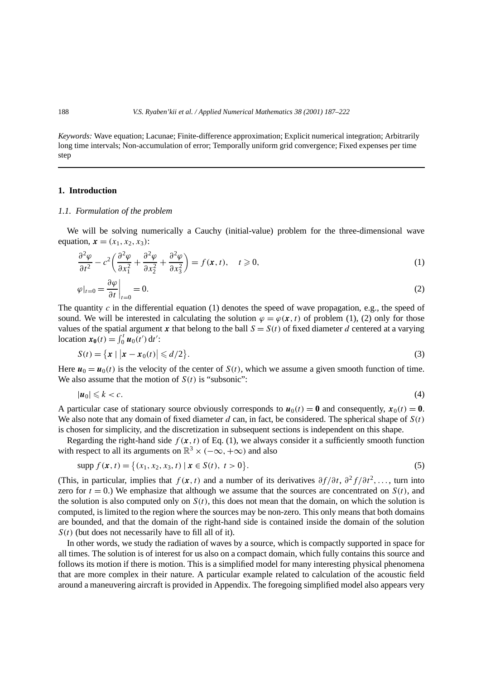*Keywords:* Wave equation; Lacunae; Finite-difference approximation; Explicit numerical integration; Arbitrarily long time intervals; Non-accumulation of error; Temporally uniform grid convergence; Fixed expenses per time step

# **1. Introduction**

#### *1.1. Formulation of the problem*

We will be solving numerically a Cauchy (initial-value) problem for the three-dimensional wave equation,  $x = (x_1, x_2, x_3)$ :

$$
\frac{\partial^2 \varphi}{\partial t^2} - c^2 \left( \frac{\partial^2 \varphi}{\partial x_1^2} + \frac{\partial^2 \varphi}{\partial x_2^2} + \frac{\partial^2 \varphi}{\partial x_3^2} \right) = f(x, t), \quad t \ge 0,
$$
\n(1)

$$
\varphi|_{t=0} = \frac{\partial \varphi}{\partial t}\Big|_{t=0} = 0. \tag{2}
$$

The quantity *c* in the differential equation (1) denotes the speed of wave propagation, e.g., the speed of sound. We will be interested in calculating the solution  $\varphi = \varphi(x, t)$  of problem (1), (2) only for those values of the spatial argument *x* that belong to the ball  $S = S(t)$  of fixed diameter *d* centered at a varying location  $x_0(t) = \int_0^t u_0(t') dt'$ :

$$
S(t) = \{x \mid |x - x_0(t)| \le d/2\}.
$$
 (3)

Here  $u_0 = u_0(t)$  is the velocity of the center of  $S(t)$ , which we assume a given smooth function of time. We also assume that the motion of  $S(t)$  is "subsonic":

$$
|\boldsymbol{u}_0| \leqslant k < c. \tag{4}
$$

A particular case of stationary source obviously corresponds to  $u_0(t) = 0$  and consequently,  $x_0(t) = 0$ . We also note that any domain of fixed diameter *d* can, in fact, be considered. The spherical shape of *S(t)* is chosen for simplicity, and the discretization in subsequent sections is independent on this shape.

Regarding the right-hand side  $f(x, t)$  of Eq. (1), we always consider it a sufficiently smooth function with respect to all its arguments on  $\mathbb{R}^3 \times (-\infty, +\infty)$  and also

$$
supp f(\mathbf{x}, t) = \{(x_1, x_2, x_3, t) | \mathbf{x} \in S(t), t > 0\}.
$$
\n(5)

(This, in particular, implies that  $f(x, t)$  and a number of its derivatives  $\partial f/\partial t$ ,  $\partial^2 f/\partial t^2$ ,..., turn into zero for  $t = 0$ .) We emphasize that although we assume that the sources are concentrated on  $S(t)$ , and the solution is also computed only on  $S(t)$ , this does not mean that the domain, on which the solution is computed, is limited to the region where the sources may be non-zero. This only means that both domains are bounded, and that the domain of the right-hand side is contained inside the domain of the solution *S(t)* (but does not necessarily have to fill all of it).

In other words, we study the radiation of waves by a source, which is compactly supported in space for all times. The solution is of interest for us also on a compact domain, which fully contains this source and follows its motion if there is motion. This is a simplified model for many interesting physical phenomena that are more complex in their nature. A particular example related to calculation of the acoustic field around a maneuvering aircraft is provided in Appendix. The foregoing simplified model also appears very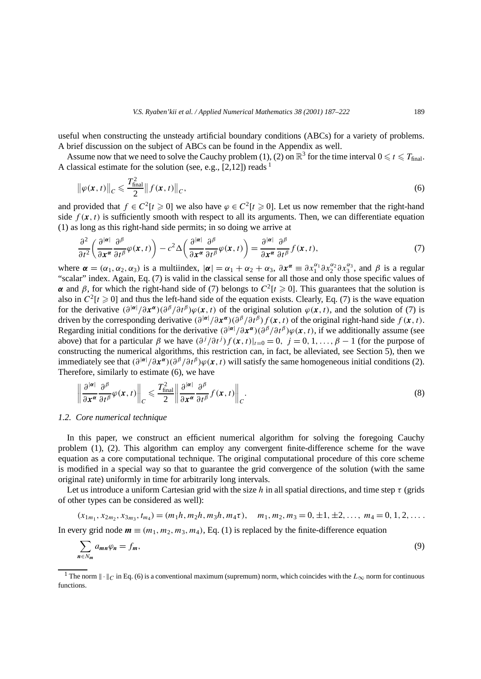useful when constructing the unsteady artificial boundary conditions (ABCs) for a variety of problems. A brief discussion on the subject of ABCs can be found in the Appendix as well.

Assume now that we need to solve the Cauchy problem (1), (2) on  $\mathbb{R}^3$  for the time interval  $0 \le t \le T_{\text{final}}$ . A classical estimate for the solution (see, e.g., [2,12]) reads  $<sup>1</sup>$ </sup>

$$
\left\|\varphi(\mathbf{x},t)\right\|_{C} \leqslant \frac{T_{\text{final}}^{2}}{2} \left\|f(\mathbf{x},t)\right\|_{C},\tag{6}
$$

and provided that  $f \in C^2[t \ge 0]$  we also have  $\varphi \in C^2[t \ge 0]$ . Let us now remember that the right-hand side  $f(x, t)$  is sufficiently smooth with respect to all its arguments. Then, we can differentiate equation (1) as long as this right-hand side permits; in so doing we arrive at

$$
\frac{\partial^2}{\partial t^2} \left( \frac{\partial^{|\alpha|}}{\partial x^{\alpha}} \frac{\partial^{\beta}}{\partial t^{\beta}} \varphi(x, t) \right) - c^2 \Delta \left( \frac{\partial^{|\alpha|}}{\partial x^{\alpha}} \frac{\partial^{\beta}}{\partial t^{\beta}} \varphi(x, t) \right) = \frac{\partial^{|\alpha|}}{\partial x^{\alpha}} \frac{\partial^{\beta}}{\partial t^{\beta}} f(x, t), \tag{7}
$$

where  $\alpha = (\alpha_1, \alpha_2, \alpha_3)$  is a multiindex,  $|\alpha| = \alpha_1 + \alpha_2 + \alpha_3$ ,  $\partial x^{\alpha} \equiv \partial x_1^{\alpha_1} \partial x_2^{\alpha_2} \partial x_3^{\alpha_3}$ , and  $\beta$  is a regular "scalar" index. Again, Eq. (7) is valid in the classical sense for all those and only those specific values of *α* and *β*, for which the right-hand side of (7) belongs to  $C^2[t \ge 0]$ . This guarantees that the solution is also in  $C^2[t \ge 0]$  and thus the left-hand side of the equation exists. Clearly, Eq. (7) is the wave equation for the derivative  $(\partial^{|\alpha|}/\partial x^{\alpha})(\partial^{\beta}/\partial t^{\beta})\varphi(x, t)$  of the original solution  $\varphi(x, t)$ , and the solution of (7) is driven by the corresponding derivative  $(\partial^{|\alpha|}/\partial x^{\alpha})(\partial^{(\beta)}/\partial t^{\beta})f(x, t)$  of the original right-hand side  $f(x, t)$ . Regarding initial conditions for the derivative  $(\partial^{|\alpha|}/\partial x^{\alpha})(\partial^{\beta}/\partial t^{\beta})\varphi(x, t)$ , if we additionally assume (see above) that for a particular  $\beta$  we have  $(\partial^j/\partial t^j)f(x, t)|_{t=0} = 0$ ,  $j = 0, 1, \ldots, \beta - 1$  (for the purpose of constructing the numerical algorithms, this restriction can, in fact, be alleviated, see Section 5), then we immediately see that  $\left(\frac{\partial |\alpha|}{\partial x^{\alpha}}\right)$  $\left(\frac{\partial^{\beta}}{\partial t^{\beta}}\right)$  $\varphi(x, t)$  will satisfy the same homogeneous initial conditions (2). Therefore, similarly to estimate (6), we have

$$
\left\|\frac{\partial^{|\boldsymbol{\alpha}|}}{\partial \boldsymbol{x}^{\boldsymbol{\alpha}}}\frac{\partial^{\beta}}{\partial t^{\beta}}\varphi(\boldsymbol{x},t)\right\|_{C} \leq \frac{T_{\text{final}}^{2}}{2}\left\|\frac{\partial^{|\boldsymbol{\alpha}|}}{\partial \boldsymbol{x}^{\boldsymbol{\alpha}}}\frac{\partial^{\beta}}{\partial t^{\beta}}f(\boldsymbol{x},t)\right\|_{C}.
$$
\n(8)

# *1.2. Core numerical technique*

In this paper, we construct an efficient numerical algorithm for solving the foregoing Cauchy problem (1), (2). This algorithm can employ any convergent finite-difference scheme for the wave equation as a core computational technique. The original computational procedure of this core scheme is modified in a special way so that to guarantee the grid convergence of the solution (with the same original rate) uniformly in time for arbitrarily long intervals.

Let us introduce a uniform Cartesian grid with the size *h* in all spatial directions, and time step *τ* (grids of other types can be considered as well):

$$
(x_{1m_1}, x_{2m_2}, x_{3m_3}, t_{m_4}) = (m_1h, m_2h, m_3h, m_4\tau), \quad m_1, m_2, m_3 = 0, \pm 1, \pm 2, \ldots, m_4 = 0, 1, 2, \ldots
$$

In every grid node  $m \equiv (m_1, m_2, m_3, m_4)$ , Eq. (1) is replaced by the finite-difference equation

$$
\sum_{n \in N_m} a_{mn} \varphi_n = f_m,\tag{9}
$$

<sup>&</sup>lt;sup>1</sup> The norm  $\|\cdot\|_C$  in Eq. (6) is a conventional maximum (supremum) norm, which coincides with the  $L_{\infty}$  norm for continuous functions.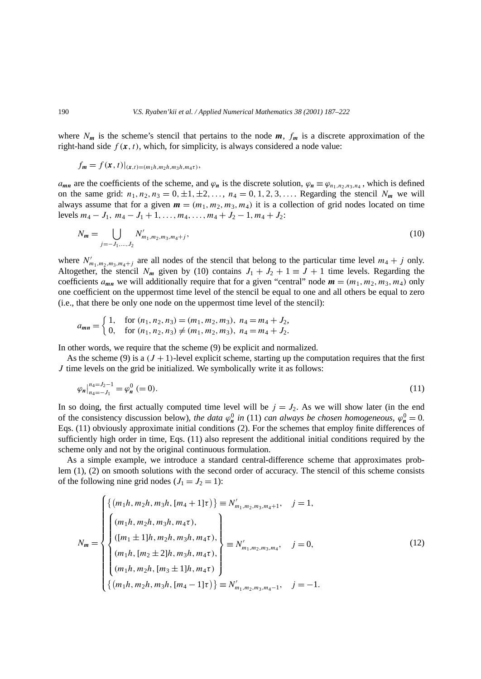where  $N_m$  is the scheme's stencil that pertains to the node  $m$ ,  $f_m$  is a discrete approximation of the right-hand side  $f(x, t)$ , which, for simplicity, is always considered a node value:

$$
f_{m}=f(x,t)|_{(x,t)=(m_1h,m_2h,m_3h,m_4\tau)},
$$

*a*<sub>*mn*</sub> are the coefficients of the scheme, and  $\varphi_n$  is the discrete solution,  $\varphi_n \equiv \varphi_{n_1, n_2, n_3, n_4}$ , which is defined on the same grid:  $n_1, n_2, n_3 = 0, \pm 1, \pm 2, \ldots, n_4 = 0, 1, 2, 3, \ldots$ . Regarding the stencil  $N_m$  we will always assume that for a given  $m = (m_1, m_2, m_3, m_4)$  it is a collection of grid nodes located on time levels  $m_4 - J_1$ ,  $m_4 - J_1 + 1$ , ...,  $m_4$ , ...,  $m_4 + J_2 - 1$ ,  $m_4 + J_2$ :

$$
N_m = \bigcup_{j=-J_1,\dots,J_2} N'_{m_1,m_2,m_3,m_4+j},\tag{10}
$$

where  $N'_{m_1,m_2,m_3,m_4+j}$  are all nodes of the stencil that belong to the particular time level  $m_4 + j$  only. Altogether, the stencil  $N_m$  given by (10) contains  $J_1 + J_2 + 1 \equiv J + 1$  time levels. Regarding the coefficients  $a_{mn}$  we will additionally require that for a given "central" node  $m = (m_1, m_2, m_3, m_4)$  only one coefficient on the uppermost time level of the stencil be equal to one and all others be equal to zero (i.e., that there be only one node on the uppermost time level of the stencil):

$$
a_{mn} = \begin{cases} 1, & \text{for } (n_1, n_2, n_3) = (m_1, m_2, m_3), \ n_4 = m_4 + J_2, \\ 0, & \text{for } (n_1, n_2, n_3) \neq (m_1, m_2, m_3), \ n_4 = m_4 + J_2. \end{cases}
$$

In other words, we require that the scheme (9) be explicit and normalized.

As the scheme (9) is a  $(J + 1)$ -level explicit scheme, starting up the computation requires that the first *J* time levels on the grid be initialized. We symbolically write it as follows:

$$
\varphi_n \big|_{n_4 = -l_1}^{n_4 = l_2 - 1} = \varphi_n^0 \ (=0). \tag{11}
$$

In so doing, the first actually computed time level will be  $j = J_2$ . As we will show later (in the end of the consistency discussion below), *the data*  $\varphi_n^0$  *in* (11) *can always be chosen homogeneous,*  $\varphi_n^0 = 0$ . Eqs. (11) obviously approximate initial conditions (2). For the schemes that employ finite differences of sufficiently high order in time, Eqs. (11) also represent the additional initial conditions required by the scheme only and not by the original continuous formulation.

As a simple example, we introduce a standard central-difference scheme that approximates problem (1), (2) on smooth solutions with the second order of accuracy. The stencil of this scheme consists of the following nine grid nodes  $(J_1 = J_2 = 1)$ :

$$
N_{m} = \begin{cases} \left\{ (m_{1}h, m_{2}h, m_{3}h, [m_{4} + 1]\tau) \right\} \equiv N'_{m_{1}, m_{2}, m_{3}, m_{4}+1}, & j = 1, \\ \left\{ (m_{1}h, m_{2}h, m_{3}h, m_{4}\tau), (m_{1}h, [m_{2} + 2]h, m_{3}h, m_{4}\tau), (m_{1}h, [m_{2} \pm 2]h, m_{3}h, m_{4}\tau), (m_{1}h, [m_{2} \pm 2]h, m_{3}h, m_{4}\tau) \right\} \\ \left\{ (m_{1}h, m_{2}h, [m_{3} \pm 1]h, m_{4}\tau) \right\} \equiv N'_{m_{1}, m_{2}, m_{3}, m_{4}-1}, & j = -1. \end{cases}
$$
(12)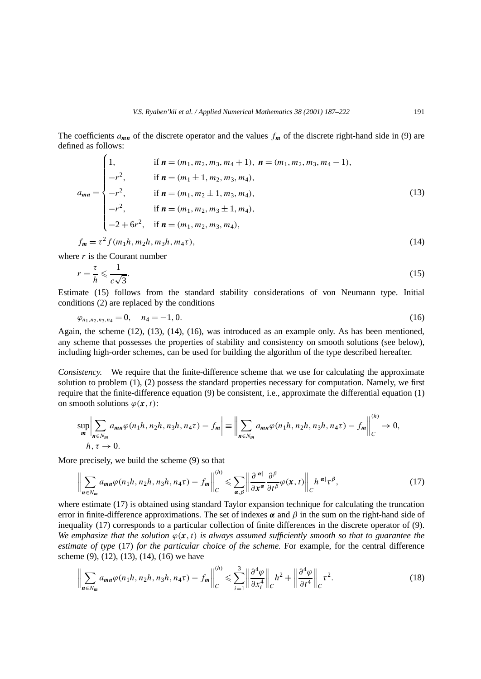The coefficients  $a_{mn}$  of the discrete operator and the values  $f_m$  of the discrete right-hand side in (9) are defined as follows:

$$
a_{mn} = \begin{cases} 1, & \text{if } n = (m_1, m_2, m_3, m_4 + 1), \ n = (m_1, m_2, m_3, m_4 - 1), \\ -r^2, & \text{if } n = (m_1 \pm 1, m_2, m_3, m_4), \\ -r^2, & \text{if } n = (m_1, m_2 \pm 1, m_3, m_4), \\ -r^2, & \text{if } n = (m_1, m_2, m_3 \pm 1, m_4), \\ -2 + 6r^2, & \text{if } n = (m_1, m_2, m_3, m_4), \\ f_m = \tau^2 f(m_1 h, m_2 h, m_3 h, m_4 \tau), \end{cases}
$$
(14)

where *r* is the Courant number

$$
r = \frac{\tau}{h} \leqslant \frac{1}{c\sqrt{3}}.\tag{15}
$$

Estimate (15) follows from the standard stability considerations of von Neumann type. Initial conditions (2) are replaced by the conditions

$$
\varphi_{n_1, n_2, n_3, n_4} = 0, \quad n_4 = -1, 0. \tag{16}
$$

Again, the scheme (12), (13), (14), (16), was introduced as an example only. As has been mentioned, any scheme that possesses the properties of stability and consistency on smooth solutions (see below), including high-order schemes, can be used for building the algorithm of the type described hereafter.

*Consistency.* We require that the finite-difference scheme that we use for calculating the approximate solution to problem (1), (2) possess the standard properties necessary for computation. Namely, we first require that the finite-difference equation (9) be consistent, i.e., approximate the differential equation (1) on smooth solutions  $\varphi$ (*x,t*):

$$
\sup_{m} \left| \sum_{n \in N_m} a_{mn} \varphi(n_1 h, n_2 h, n_3 h, n_4 \tau) - f_m \right| \equiv \left\| \sum_{n \in N_m} a_{mn} \varphi(n_1 h, n_2 h, n_3 h, n_4 \tau) - f_m \right\|_{C}^{(h)} \to 0,
$$
  
  $h, \tau \to 0.$ 

More precisely, we build the scheme (9) so that

$$
\left\| \sum_{n \in N_m} a_{mn} \varphi(n_1 h, n_2 h, n_3 h, n_4 \tau) - f_m \right\|_C^{(h)} \leq \sum_{\alpha, \beta} \left\| \frac{\partial^{|\alpha|}}{\partial x^{\alpha}} \frac{\partial^{\beta}}{\partial t^{\beta}} \varphi(x, t) \right\|_C h^{|\alpha|} \tau^{\beta}, \tag{17}
$$

where estimate (17) is obtained using standard Taylor expansion technique for calculating the truncation error in finite-difference approximations. The set of indexes *α* and *β* in the sum on the right-hand side of inequality (17) corresponds to a particular collection of finite differences in the discrete operator of (9). *We emphasize that the solution*  $\varphi(\mathbf{x},t)$  *is always assumed sufficiently smooth so that to guarantee the estimate of type* (17) *for the particular choice of the scheme.* For example, for the central difference scheme (9), (12), (13), (14), (16) we have

$$
\bigg\|\sum_{n\in N_m} a_{mn}\varphi(n_1h, n_2h, n_3h, n_4\tau) - f_m\bigg\|_C^{(h)} \leq \sum_{i=1}^3 \bigg\|\frac{\partial^4 \varphi}{\partial x_i^4}\bigg\|_C h^2 + \bigg\|\frac{\partial^4 \varphi}{\partial t^4}\bigg\|_C \tau^2.
$$
 (18)

*(h)*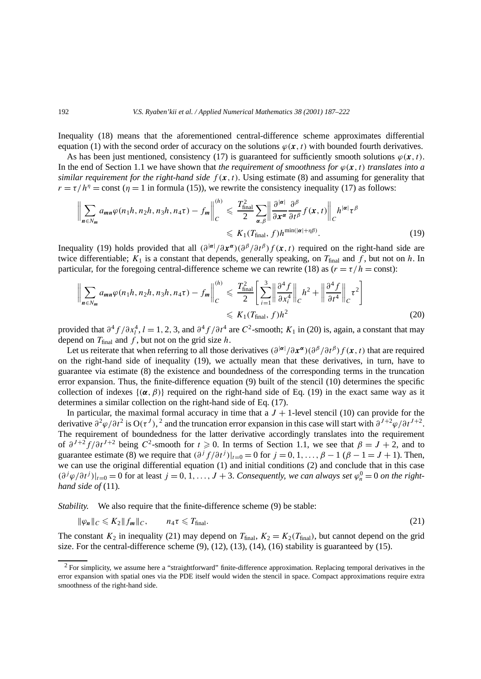Inequality (18) means that the aforementioned central-difference scheme approximates differential equation (1) with the second order of accuracy on the solutions  $\varphi(x, t)$  with bounded fourth derivatives.

As has been just mentioned, consistency (17) is guaranteed for sufficiently smooth solutions  $\varphi(\mathbf{x},t)$ . In the end of Section 1.1 we have shown that *the requirement of smoothness for*  $\varphi(\mathbf{x},t)$  *translates into a similar requirement for the right-hand side*  $f(x, t)$ . Using estimate (8) and assuming for generality that  $r = \tau/h^{\eta} = \text{const}$  ( $\eta = 1$  in formula (15)), we rewrite the consistency inequality (17) as follows:

$$
\left\| \sum_{n \in N_m} a_{mn} \varphi(n_1 h, n_2 h, n_3 h, n_4 \tau) - f_m \right\|_C^{(h)} \leq \frac{T_{\text{final}}^2}{2} \sum_{\alpha, \beta} \left\| \frac{\partial^{|\alpha|}}{\partial x^{\alpha}} \frac{\partial^{\beta}}{\partial t^{\beta}} f(x, t) \right\|_C h^{|\alpha|} \tau^{\beta} \leq K_1(T_{\text{final}}, f) h^{\min(|\alpha| + \eta \beta)}. \tag{19}
$$

Inequality (19) holds provided that all  $(\partial^{|\alpha|}/\partial x^{\alpha})(\partial^{\beta}/\partial t^{\beta})f(x, t)$  required on the right-hand side are twice differentiable;  $K_1$  is a constant that depends, generally speaking, on  $T_{final}$  and  $f$ , but not on  $h$ . In particular, for the foregoing central-difference scheme we can rewrite (18) as  $(r = \tau/h = \text{const})$ :

$$
\left\| \sum_{n \in N_m} a_{mn} \varphi(n_1 h, n_2 h, n_3 h, n_4 \tau) - f_m \right\|_C^{(h)} \leq \frac{T_{\text{final}}^2}{2} \left[ \sum_{i=1}^3 \left\| \frac{\partial^4 f}{\partial x_i^4} \right\|_C h^2 + \left\| \frac{\partial^4 f}{\partial t^4} \right\|_C \tau^2 \right]
$$
  

$$
\leq K_1 (T_{\text{final}}, f) h^2 \tag{20}
$$

provided that  $\partial^4 f / \partial x_i^4$ ,  $l = 1, 2, 3$ , and  $\partial^4 f / \partial t^4$  are  $C^2$ -smooth;  $K_1$  in (20) is, again, a constant that may depend on  $T_{\text{final}}$  and  $\dot{f}$ , but not on the grid size  $h$ .

Let us reiterate that when referring to all those derivatives  $(\partial^{|\alpha|}/\partial x^{\alpha})(\partial^{\beta}/\partial t^{\beta})f(x, t)$  that are required on the right-hand side of inequality (19), we actually mean that these derivatives, in turn, have to guarantee via estimate (8) the existence and boundedness of the corresponding terms in the truncation error expansion. Thus, the finite-difference equation (9) built of the stencil (10) determines the specific collection of indexes  $\{(\alpha, \beta)\}\$  required on the right-hand side of Eq. (19) in the exact same way as it determines a similar collection on the right-hand side of Eq. (17).

In particular, the maximal formal accuracy in time that a  $J + 1$ -level stencil (10) can provide for the derivative  $\partial^2 \varphi / \partial t^2$  is  $O(\tau^J)$ , <sup>2</sup> and the truncation error expansion in this case will start with  $\partial^{J+2} \varphi / \partial t^{J+2}$ . The requirement of boundedness for the latter derivative accordingly translates into the requirement of  $\partial^{J+2} f/\partial t^{J+2}$  being  $C^2$ -smooth for  $t \ge 0$ . In terms of Section 1.1, we see that  $\beta = J + 2$ , and to guarantee estimate (8) we require that  $(\partial^j f/\partial t^j)|_{t=0} = 0$  for  $j = 0, 1, \ldots, \beta - 1$  ( $\beta - 1 = J + 1$ ). Then, we can use the original differential equation (1) and initial conditions (2) and conclude that in this case  $(\partial^j \varphi / \partial t^j)|_{t=0} = 0$  for at least  $j = 0, 1, ..., J+3$ . *Consequently, we can always set*  $\varphi_n^0 = 0$  *on the righthand side of* (11)*.*

*Stability.* We also require that the finite-difference scheme (9) be stable:

$$
\|\varphi_n\|_C \leqslant K_2 \|f_m\|_C, \qquad n_4 \tau \leqslant T_{\text{final}}. \tag{21}
$$

The constant  $K_2$  in inequality (21) may depend on  $T_{\text{final}}$ ,  $K_2 = K_2(T_{\text{final}})$ , but cannot depend on the grid size. For the central-difference scheme (9), (12), (13), (14), (16) stability is guaranteed by (15).

<sup>&</sup>lt;sup>2</sup> For simplicity, we assume here a "straightforward" finite-difference approximation. Replacing temporal derivatives in the error expansion with spatial ones via the PDE itself would widen the stencil in space. Compact approximations require extra smoothness of the right-hand side.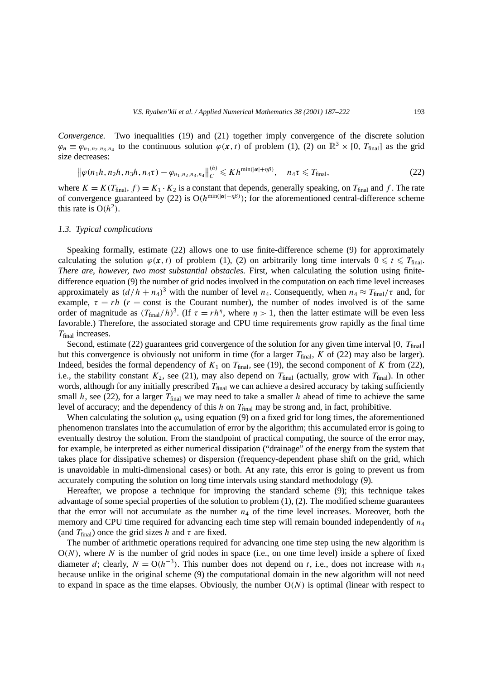*Convergence.* Two inequalities (19) and (21) together imply convergence of the discrete solution  $\varphi_n \equiv \varphi_{n_1, n_2, n_3, n_4}$  to the continuous solution  $\varphi(x, t)$  of problem (1), (2) on  $\mathbb{R}^3 \times [0, T_{\text{final}}]$  as the grid size decreases:

$$
\left\| \varphi(n_1 h, n_2 h, n_3 h, n_4 \tau) - \varphi_{n_1, n_2, n_3, n_4} \right\|_C^{(h)} \leqslant K h^{\min(|\alpha| + \eta \beta)}, \quad n_4 \tau \leqslant T_{\text{final}},\tag{22}
$$

where  $K = K(T_{final}, f) = K_1 \cdot K_2$  is a constant that depends, generally speaking, on  $T_{final}$  and  $f$ . The rate of convergence guaranteed by (22) is  $O(h^{\min(|\alpha| + \eta \beta)})$ ; for the aforementioned central-difference scheme this rate is  $O(h^2)$ .

## *1.3. Typical complications*

Speaking formally, estimate (22) allows one to use finite-difference scheme (9) for approximately calculating the solution  $\varphi(x, t)$  of problem (1), (2) on arbitrarily long time intervals  $0 \le t \le T_{\text{final}}$ . *There are, however, two most substantial obstacles.* First, when calculating the solution using finitedifference equation (9) the number of grid nodes involved in the computation on each time level increases approximately as  $(d/h + n_4)^3$  with the number of level  $n_4$ . Consequently, when  $n_4 \approx T_{\text{final}}/\tau$  and, for example,  $\tau = rh$  ( $r =$  const is the Courant number), the number of nodes involved is of the same order of magnitude as  $(T_{\text{final}}/h)^3$ . (If  $\tau = rh^{\eta}$ , where  $\eta > 1$ , then the latter estimate will be even less favorable.) Therefore, the associated storage and CPU time requirements grow rapidly as the final time *T*final increases.

Second, estimate (22) guarantees grid convergence of the solution for any given time interval [0, T<sub>final</sub>] but this convergence is obviously not uniform in time (for a larger  $T_{final}$ ,  $K$  of (22) may also be larger). Indeed, besides the formal dependency of  $K_1$  on  $T_{\text{final}}$ , see (19), the second component of *K* from (22), i.e., the stability constant  $K_2$ , see (21), may also depend on  $T_{final}$  (actually, grow with  $T_{final}$ ). In other words, although for any initially prescribed  $T_{final}$  we can achieve a desired accuracy by taking sufficiently small  $h$ , see (22), for a larger  $T_{final}$  we may need to take a smaller  $h$  ahead of time to achieve the same level of accuracy; and the dependency of this *h* on *T*final may be strong and, in fact, prohibitive.

When calculating the solution  $\varphi_n$  using equation (9) on a fixed grid for long times, the aforementioned phenomenon translates into the accumulation of error by the algorithm; this accumulated error is going to eventually destroy the solution. From the standpoint of practical computing, the source of the error may, for example, be interpreted as either numerical dissipation ("drainage" of the energy from the system that takes place for dissipative schemes) or dispersion (frequency-dependent phase shift on the grid, which is unavoidable in multi-dimensional cases) or both. At any rate, this error is going to prevent us from accurately computing the solution on long time intervals using standard methodology (9).

Hereafter, we propose a technique for improving the standard scheme (9); this technique takes advantage of some special properties of the solution to problem (1), (2). The modified scheme guarantees that the error will not accumulate as the number  $n<sub>4</sub>$  of the time level increases. Moreover, both the memory and CPU time required for advancing each time step will remain bounded independently of  $n_4$ (and  $T_{\text{final}}$ ) once the grid sizes *h* and  $\tau$  are fixed.

The number of arithmetic operations required for advancing one time step using the new algorithm is  $O(N)$ , where N is the number of grid nodes in space (i.e., on one time level) inside a sphere of fixed diameter *d*; clearly,  $N = O(h^{-3})$ . This number does not depend on *t*, i.e., does not increase with  $n_4$ because unlike in the original scheme (9) the computational domain in the new algorithm will not need to expand in space as the time elapses. Obviously, the number  $O(N)$  is optimal (linear with respect to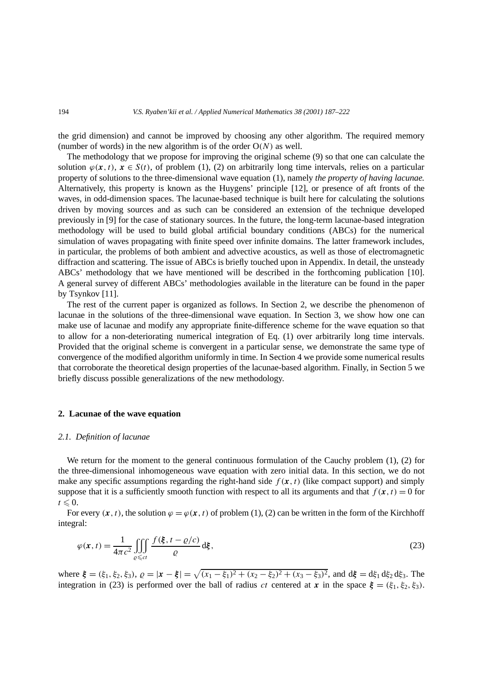the grid dimension) and cannot be improved by choosing any other algorithm. The required memory (number of words) in the new algorithm is of the order  $O(N)$  as well.

The methodology that we propose for improving the original scheme (9) so that one can calculate the solution  $\varphi(x, t)$ ,  $x \in S(t)$ , of problem (1), (2) on arbitrarily long time intervals, relies on a particular property of solutions to the three-dimensional wave equation (1), namely *the property of having lacunae.* Alternatively, this property is known as the Huygens' principle [12], or presence of aft fronts of the waves, in odd-dimension spaces. The lacunae-based technique is built here for calculating the solutions driven by moving sources and as such can be considered an extension of the technique developed previously in [9] for the case of stationary sources. In the future, the long-term lacunae-based integration methodology will be used to build global artificial boundary conditions (ABCs) for the numerical simulation of waves propagating with finite speed over infinite domains. The latter framework includes, in particular, the problems of both ambient and advective acoustics, as well as those of electromagnetic diffraction and scattering. The issue of ABCs is briefly touched upon in Appendix. In detail, the unsteady ABCs' methodology that we have mentioned will be described in the forthcoming publication [10]. A general survey of different ABCs' methodologies available in the literature can be found in the paper by Tsynkov [11].

The rest of the current paper is organized as follows. In Section 2, we describe the phenomenon of lacunae in the solutions of the three-dimensional wave equation. In Section 3, we show how one can make use of lacunae and modify any appropriate finite-difference scheme for the wave equation so that to allow for a non-deteriorating numerical integration of Eq. (1) over arbitrarily long time intervals. Provided that the original scheme is convergent in a particular sense, we demonstrate the same type of convergence of the modified algorithm uniformly in time. In Section 4 we provide some numerical results that corroborate the theoretical design properties of the lacunae-based algorithm. Finally, in Section 5 we briefly discuss possible generalizations of the new methodology.

## **2. Lacunae of the wave equation**

### *2.1. Definition of lacunae*

We return for the moment to the general continuous formulation of the Cauchy problem (1), (2) for the three-dimensional inhomogeneous wave equation with zero initial data. In this section, we do not make any specific assumptions regarding the right-hand side  $f(x, t)$  (like compact support) and simply suppose that it is a sufficiently smooth function with respect to all its arguments and that  $f(x, t) = 0$  for  $t \leqslant 0.$ 

For every  $(x, t)$ , the solution  $\varphi = \varphi(x, t)$  of problem (1), (2) can be written in the form of the Kirchhoff integral:

$$
\varphi(\mathbf{x},t) = \frac{1}{4\pi c^2} \iiint\limits_{\varrho \leqslant ct} \frac{f(\xi, t - \varrho/c)}{\varrho} d\xi,
$$
\n(23)

where  $\xi = (\xi_1, \xi_2, \xi_3)$ ,  $\rho = |x - \xi| = \sqrt{(x_1 - \xi_1)^2 + (x_2 - \xi_2)^2 + (x_3 - \xi_3)^2}$ , and  $d\xi = d\xi_1 d\xi_2 d\xi_3$ . The integration in (23) is performed over the ball of radius *ct* centered at *x* in the space  $\xi = (\xi_1, \xi_2, \xi_3)$ .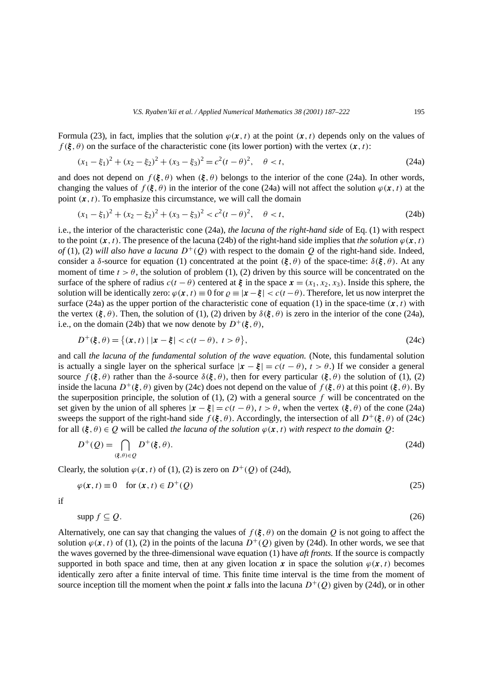Formula (23), in fact, implies that the solution  $\varphi(x, t)$  at the point  $(x, t)$  depends only on the values of  $f(\xi, \theta)$  on the surface of the characteristic cone (its lower portion) with the vertex  $(x, t)$ :

$$
(x_1 - \xi_1)^2 + (x_2 - \xi_2)^2 + (x_3 - \xi_3)^2 = c^2(t - \theta)^2, \quad \theta < t,\tag{24a}
$$

and does not depend on  $f(\xi, \theta)$  when  $(\xi, \theta)$  belongs to the interior of the cone (24a). In other words, changing the values of  $f(\xi, \theta)$  in the interior of the cone (24a) will not affect the solution  $\varphi(\mathbf{x}, t)$  at the point  $(x, t)$ . To emphasize this circumstance, we will call the domain

$$
(x_1 - \xi_1)^2 + (x_2 - \xi_2)^2 + (x_3 - \xi_3)^2 < c^2(t - \theta)^2, \quad \theta < t,\tag{24b}
$$

i.e., the interior of the characteristic cone (24a), *the lacuna of the right-hand side* of Eq. (1) with respect to the point  $(x, t)$ . The presence of the lacuna (24b) of the right-hand side implies that *the solution*  $\varphi(x, t)$ *of* (1), (2) *will also have a lacuna*  $D^+(Q)$  with respect to the domain *Q* of the right-hand side. Indeed, consider a *δ*-source for equation (1) concentrated at the point  $(ξ, θ)$  of the space-time:  $δ(ξ, θ)$ . At any moment of time  $t > \theta$ , the solution of problem (1), (2) driven by this source will be concentrated on the surface of the sphere of radius  $c(t - \theta)$  centered at  $\xi$  in the space  $x = (x_1, x_2, x_3)$ . Inside this sphere, the solution will be identically zero:  $\varphi(x, t) \equiv 0$  for  $\varrho \equiv |x - \xi| < c(t - \theta)$ . Therefore, let us now interpret the surface (24a) as the upper portion of the characteristic cone of equation (1) in the space-time  $(x, t)$  with the vertex  $(ξ, θ)$ . Then, the solution of (1), (2) driven by  $δ(ξ, θ)$  is zero in the interior of the cone (24a), i.e., on the domain (24b) that we now denote by  $D^+(\xi, \theta)$ ,

$$
D^{+}(\xi, \theta) = \{ (x, t) | |x - \xi| < c(t - \theta), \ t > \theta \},\tag{24c}
$$

and call *the lacuna of the fundamental solution of the wave equation.* (Note, this fundamental solution is actually a single layer on the spherical surface  $|\mathbf{x} - \boldsymbol{\xi}| = c(t - \theta)$ ,  $t > \theta$ .) If we consider a general source  $f(\xi, \theta)$  rather than the *δ*-source  $\delta(\xi, \theta)$ , then for every particular  $(\xi, \theta)$  the solution of (1), (2) inside the lacuna  $D^+(\xi, \theta)$  given by (24c) does not depend on the value of  $f(\xi, \theta)$  at this point  $(\xi, \theta)$ . By the superposition principle, the solution of  $(1)$ ,  $(2)$  with a general source f will be concentrated on the set given by the union of all spheres  $|x - \xi| = c(t - \theta)$ ,  $t > \theta$ , when the vertex  $(\xi, \theta)$  of the cone (24a) sweeps the support of the right-hand side  $f$ (*ξ*, *θ*). Accordingly, the intersection of all  $D^+(\xi, \theta)$  of (24c) for all  $(\xi, \theta) \in Q$  will be called *the lacuna of the solution*  $\varphi(x, t)$  *with respect to the domain*  $Q$ :

$$
D^{+}(Q) = \bigcap_{(\xi,\theta)\in Q} D^{+}(\xi,\theta). \tag{24d}
$$

Clearly, the solution  $\varphi$ (*x*,*t*) of (1), (2) is zero on  $D^{+}(Q)$  of (24d),

$$
\varphi(\mathbf{x},t) \equiv 0 \quad \text{for } (\mathbf{x},t) \in D^{+}(Q) \tag{25}
$$

if

$$
\text{supp } f \subseteq Q. \tag{26}
$$

Alternatively, one can say that changing the values of  $f(\xi, \theta)$  on the domain  $Q$  is not going to affect the solution  $\varphi(\mathbf{x},t)$  of (1), (2) in the points of the lacuna  $D^+(Q)$  given by (24d). In other words, we see that the waves governed by the three-dimensional wave equation (1) have *aft fronts.* If the source is compactly supported in both space and time, then at any given location  $x$  in space the solution  $\varphi(x, t)$  becomes identically zero after a finite interval of time. This finite time interval is the time from the moment of source inception till the moment when the point *x* falls into the lacuna  $D^+(Q)$  given by (24d), or in other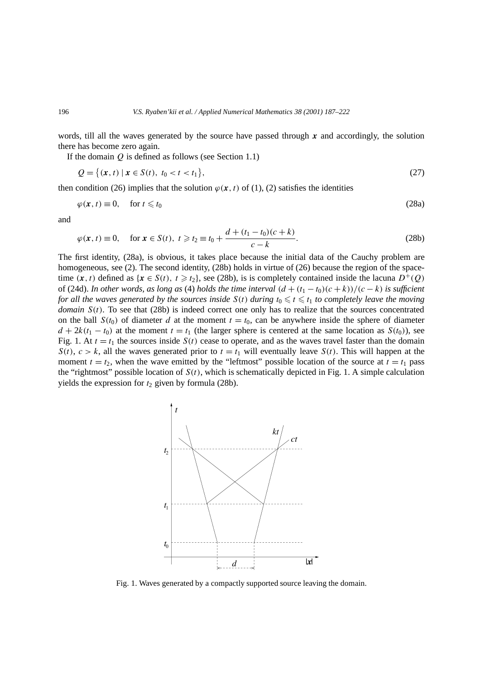words, till all the waves generated by the source have passed through *x* and accordingly, the solution there has become zero again.

If the domain *Q* is defined as follows (see Section 1.1)

$$
Q = \{(x, t) \mid x \in S(t), t_0 < t < t_1\},\tag{27}
$$

then condition (26) implies that the solution  $\varphi(\mathbf{x},t)$  of (1), (2) satisfies the identities

$$
\varphi(\mathbf{x},t) \equiv 0, \quad \text{for } t \leq t_0 \tag{28a}
$$

and

$$
\varphi(\mathbf{x}, t) \equiv 0, \quad \text{for } \mathbf{x} \in S(t), \ t \geq t_2 \equiv t_0 + \frac{d + (t_1 - t_0)(c + k)}{c - k}.
$$
\n(28b)

The first identity, (28a), is obvious, it takes place because the initial data of the Cauchy problem are homogeneous, see (2). The second identity, (28b) holds in virtue of (26) because the region of the spacetime  $(x, t)$  defined as  $\{x \in S(t), t \ge t_2\}$ , see (28b), is is completely contained inside the lacuna  $D^+(Q)$ of (24d). *In other words, as long as* (4) *holds the time interval*  $(d + (t_1 - t_0)(c + k))/(c - k)$  *is sufficient for all the waves generated by the sources inside*  $S(t)$  *during*  $t_0 \leqslant t \leqslant t_1$  to completely leave the moving *domain*  $S(t)$ . To see that (28b) is indeed correct one only has to realize that the sources concentrated on the ball  $S(t_0)$  of diameter *d* at the moment  $t = t_0$ , can be anywhere inside the sphere of diameter  $d + 2k(t_1 - t_0)$  at the moment  $t = t_1$  (the larger sphere is centered at the same location as  $S(t_0)$ ), see Fig. 1. At  $t = t_1$  the sources inside  $S(t)$  cease to operate, and as the waves travel faster than the domain  $S(t)$ ,  $c > k$ , all the waves generated prior to  $t = t_1$  will eventually leave  $S(t)$ . This will happen at the moment  $t = t_2$ , when the wave emitted by the "leftmost" possible location of the source at  $t = t_1$  pass the "rightmost" possible location of  $S(t)$ , which is schematically depicted in Fig. 1. A simple calculation yields the expression for  $t_2$  given by formula (28b).



Fig. 1. Waves generated by a compactly supported source leaving the domain.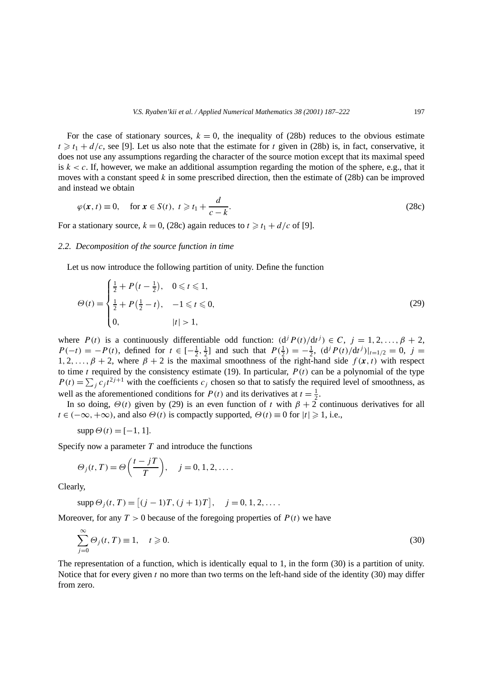For the case of stationary sources,  $k = 0$ , the inequality of (28b) reduces to the obvious estimate  $t \geq t_1 + d/c$ , see [9]. Let us also note that the estimate for *t* given in (28b) is, in fact, conservative, it does not use any assumptions regarding the character of the source motion except that its maximal speed is  $k < c$ . If, however, we make an additional assumption regarding the motion of the sphere, e.g., that it moves with a constant speed *k* in some prescribed direction, then the estimate of (28b) can be improved and instead we obtain

$$
\varphi(\mathbf{x}, t) \equiv 0, \quad \text{for } \mathbf{x} \in S(t), \ t \geq t_1 + \frac{d}{c - k}.
$$
\n(28c)

For a stationary source,  $k = 0$ , (28c) again reduces to  $t \ge t_1 + d/c$  of [9].

## *2.2. Decomposition of the source function in time*

Let us now introduce the following partition of unity. Define the function

$$
\Theta(t) = \begin{cases} \frac{1}{2} + P(t - \frac{1}{2}), & 0 \leq t \leq 1, \\ \frac{1}{2} + P(\frac{1}{2} - t), & -1 \leq t \leq 0, \\ 0, & |t| > 1, \end{cases}
$$
(29)

where  $P(t)$  is a continuously differentiable odd function:  $(d^{j}P(t)/dt^{j}) \in C$ ,  $j = 1, 2, ..., \beta + 2$ ,  $P(-t) = -P(t)$ , defined for  $t \in \left[-\frac{1}{2}, \frac{1}{2}\right]$  and such that  $P(\frac{1}{2}) = -\frac{1}{2}$ ,  $(d^{j} P(t)/dt^{j})|_{t=1/2} = 0$ ,  $j =$ 1, 2, ...,  $\beta + 2$ , where  $\beta + 2$  is the maximal smoothness of the right-hand side  $f(x, t)$  with respect to time *t* required by the consistency estimate (19). In particular,  $P(t)$  can be a polynomial of the type  $P(t) = \sum_j c_j t^{2j+1}$  with the coefficients  $c_j$  chosen so that to satisfy the required level of smoothness, as well as the aforementioned conditions for  $P(t)$  and its derivatives at  $t = \frac{1}{2}$ .

In so doing,  $\Theta(t)$  given by (29) is an even function of *t* with  $\beta + 2$  continuous derivatives for all  $t \in (-\infty, +\infty)$ , and also  $\Theta(t)$  is compactly supported,  $\Theta(t) \equiv 0$  for  $|t| \ge 1$ , i.e.,

$$
\operatorname{supp}\Theta(t)=[-1,1].
$$

Specify now a parameter *T* and introduce the functions

$$
\Theta_j(t,T) = \Theta\bigg(\frac{t-jT}{T}\bigg), \quad j=0,1,2,\ldots.
$$

Clearly,

$$
supp \Theta_j(t, T) = [(j-1)T, (j+1)T], \quad j = 0, 1, 2, \dots
$$

Moreover, for any  $T > 0$  because of the foregoing properties of  $P(t)$  we have

$$
\sum_{j=0}^{\infty} \Theta_j(t, T) \equiv 1, \quad t \geq 0.
$$
\n(30)

The representation of a function, which is identically equal to 1, in the form (30) is a partition of unity. Notice that for every given *t* no more than two terms on the left-hand side of the identity (30) may differ from zero.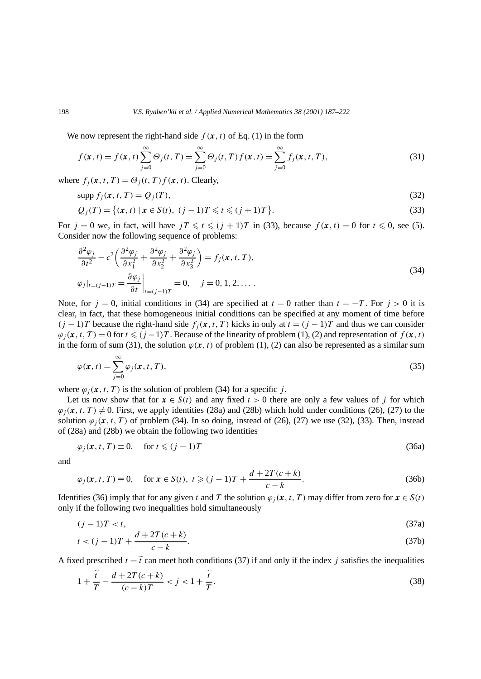We now represent the right-hand side  $f(x, t)$  of Eq. (1) in the form

$$
f(\mathbf{x},t) = f(\mathbf{x},t) \sum_{j=0}^{\infty} \Theta_j(t,T) = \sum_{j=0}^{\infty} \Theta_j(t,T) f(\mathbf{x},t) = \sum_{j=0}^{\infty} f_j(\mathbf{x},t,T),
$$
\n(31)

where  $f_j$   $(\mathbf{x}, t, T) = \Theta_j(t, T) f(\mathbf{x}, t)$ . Clearly,

$$
\text{supp } f_j(x, t, T) = Q_j(T),\tag{32}
$$

$$
Q_j(T) = \{(x, t) \mid x \in S(t), \ (j - 1)T \leq t \leq (j + 1)T\}.
$$
\n(33)

For  $j = 0$  we, in fact, will have  $jT \le t \le (j + 1)T$  in (33), because  $f(x, t) = 0$  for  $t \le 0$ , see (5). Consider now the following sequence of problems:

$$
\frac{\partial^2 \varphi_j}{\partial t^2} - c^2 \left( \frac{\partial^2 \varphi_j}{\partial x_1^2} + \frac{\partial^2 \varphi_j}{\partial x_2^2} + \frac{\partial^2 \varphi_j}{\partial x_3^2} \right) = f_j(\mathbf{x}, t, T),
$$
  

$$
\varphi_j|_{t=(j-1)T} = \frac{\partial \varphi_j}{\partial t} \Big|_{t=(j-1)T} = 0, \quad j = 0, 1, 2, ...
$$
\n(34)

Note, for  $j = 0$ , initial conditions in (34) are specified at  $t = 0$  rather than  $t = -T$ . For  $j > 0$  it is clear, in fact, that these homogeneous initial conditions can be specified at any moment of time before  $(j − 1)T$  because the right-hand side  $f_j$   $(\mathbf{x}, t, T)$  kicks in only at  $t = (j − 1)T$  and thus we can consider  $\varphi_j(\mathbf{x}, t, T) = 0$  for  $t \leq (j - 1)T$ . Because of the linearity of problem (1), (2) and representation of  $f(\mathbf{x}, t)$ in the form of sum (31), the solution  $\varphi(x, t)$  of problem (1), (2) can also be represented as a similar sum

$$
\varphi(\mathbf{x},t) = \sum_{j=0}^{\infty} \varphi_j(\mathbf{x},t,T),
$$
\n(35)

where  $\varphi_i$  ( $\mathbf{x}, t, T$ ) is the solution of problem (34) for a specific *j*.

Let us now show that for  $x \in S(t)$  and any fixed  $t > 0$  there are only a few values of *j* for which  $\varphi_i(x, t, T) \neq 0$ . First, we apply identities (28a) and (28b) which hold under conditions (26), (27) to the solution  $\varphi_i(\mathbf{x}, t, T)$  of problem (34). In so doing, instead of (26), (27) we use (32), (33). Then, instead of (28a) and (28b) we obtain the following two identities

$$
\varphi_j(\mathbf{x}, t, T) \equiv 0, \quad \text{for } t \leq (j - 1)T \tag{36a}
$$

and

$$
\varphi_j(\mathbf{x}, t, T) \equiv 0
$$
, for  $\mathbf{x} \in S(t)$ ,  $t \ge (j - 1)T + \frac{d + 2T(c + k)}{c - k}$ . (36b)

Identities (36) imply that for any given *t* and *T* the solution  $\varphi_i(x, t, T)$  may differ from zero for  $x \in S(t)$ only if the following two inequalities hold simultaneously

$$
(j-1)T < t,\tag{37a}
$$

$$
t < (j-1)T + \frac{d + 2T(c+k)}{c-k}.
$$
 (37b)

A fixed prescribed  $t = \tilde{t}$  can meet both conditions (37) if and only if the index *j* satisfies the inequalities

$$
1 + \frac{\tilde{t}}{T} - \frac{d + 2T(c+k)}{(c-k)T} < j < 1 + \frac{\tilde{t}}{T}.\tag{38}
$$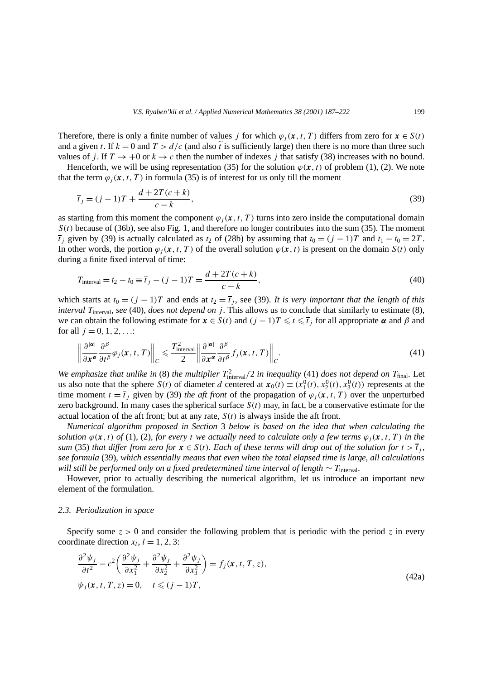Therefore, there is only a finite number of values *j* for which  $\varphi_i(x, t, T)$  differs from zero for  $x \in S(t)$ and a given *t*. If  $k = 0$  and  $T > d/c$  (and also  $\tilde{t}$  is sufficiently large) then there is no more than three such values of *j*. If  $T \to +0$  or  $k \to c$  then the number of indexes *j* that satisfy (38) increases with no bound.

Henceforth, we will be using representation (35) for the solution  $\varphi(x, t)$  of problem (1), (2). We note that the term  $\varphi_i(x, t, T)$  in formula (35) is of interest for us only till the moment

$$
\bar{t}_j = (j-1)T + \frac{d + 2T(c+k)}{c-k},\tag{39}
$$

as starting from this moment the component  $\varphi_i(x, t, T)$  turns into zero inside the computational domain  $S(t)$  because of (36b), see also Fig. 1, and therefore no longer contributes into the sum (35). The moment *t*<sub>i</sub> given by (39) is actually calculated as  $t_2$  of (28b) by assuming that  $t_0 = (j - 1)T$  and  $t_1 - t_0 = 2T$ . In other words, the portion  $\varphi_i(x, t, T)$  of the overall solution  $\varphi(x, t)$  is present on the domain  $S(t)$  only during a finite fixed interval of time:

$$
T_{\text{interval}} = t_2 - t_0 \equiv \overline{t}_j - (j - 1)T = \frac{d + 2T(c + k)}{c - k},
$$
\n(40)

which starts at  $t_0 = (j - 1)T$  and ends at  $t_2 = \overline{t}_j$ , see (39). It is very important that the length of this *interval T*<sub>interval</sub>, see (40), does not depend on *j*. This allows us to conclude that similarly to estimate (8), we can obtain the following estimate for  $x \in S(t)$  and  $(j - 1)T \le t \le \overline{t}_j$  for all appropriate  $\alpha$  and  $\beta$  and for all  $j = 0, 1, 2, \ldots$ :

$$
\left\|\frac{\partial^{|\alpha|}}{\partial x^{\alpha}}\frac{\partial^{\beta}}{\partial t^{\beta}}\varphi_{j}(x,t,T)\right\|_{C} \leq \frac{T_{\text{interval}}^{2}}{2}\left\|\frac{\partial^{|\alpha|}}{\partial x^{\alpha}}\frac{\partial^{\beta}}{\partial t^{\beta}}f_{j}(x,t,T)\right\|_{C}.
$$
\n(41)

*We emphasize that unlike in* (8) *the multiplier*  $T_{\text{interval}}^2/2$  *in inequality* (41) *does not depend on*  $T_{\text{final}}$ *.* Let us also note that the sphere *S(t)* of diameter *d* centered at  $x_0(t) \equiv (x_1^0(t), x_2^0(t), x_3^0(t))$  represents at the time moment  $t = \overline{t}_i$  given by (39) *the aft front* of the propagation of  $\varphi_i(\mathbf{x}, t, T)$  over the unperturbed zero background. In many cases the spherical surface  $S(t)$  may, in fact, be a conservative estimate for the actual location of the aft front; but at any rate,  $S(t)$  is always inside the aft front.

*Numerical algorithm proposed in Section* 3 *below is based on the idea that when calculating the solution*  $\varphi(\mathbf{x},t)$  *of* (1)*,* (2)*, for every t we actually need to calculate only a few terms*  $\varphi_i(\mathbf{x},t,T)$  *in the sum* (35) *that differ from zero for*  $\mathbf{x} \in S(t)$ *. Each of these terms will drop out of the solution for*  $t > \overline{t}$ *j*, *see formula* (39)*, which essentially means that even when the total elapsed time is large, all calculations will still be performed only on a fixed predetermined time interval of length* ∼ *T*<sub>interval</sub>.

However, prior to actually describing the numerical algorithm, let us introduce an important new element of the formulation.

#### *2.3. Periodization in space*

Specify some  $z > 0$  and consider the following problem that is periodic with the period  $z$  in every coordinate direction  $x_l$ ,  $l = 1, 2, 3$ :

$$
\frac{\partial^2 \psi_j}{\partial t^2} - c^2 \left( \frac{\partial^2 \psi_j}{\partial x_1^2} + \frac{\partial^2 \psi_j}{\partial x_2^2} + \frac{\partial^2 \psi_j}{\partial x_3^2} \right) = f_j(\mathbf{x}, t, T, z),
$$
  
\n
$$
\psi_j(\mathbf{x}, t, T, z) = 0, \quad t \le (j - 1)T,
$$
\n(42a)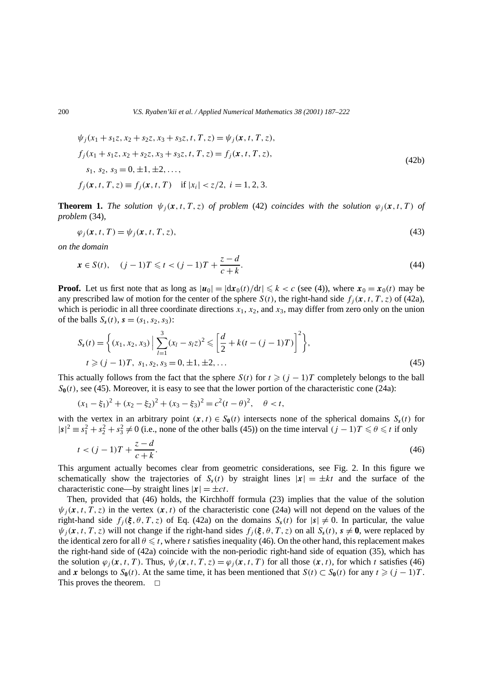$$
\psi_j(x_1 + s_1z, x_2 + s_2z, x_3 + s_3z, t, T, z) = \psi_j(\mathbf{x}, t, T, z),
$$
  
\n
$$
f_j(x_1 + s_1z, x_2 + s_2z, x_3 + s_3z, t, T, z) = f_j(\mathbf{x}, t, T, z),
$$
  
\n
$$
s_1, s_2, s_3 = 0, \pm 1, \pm 2, \dots,
$$
  
\n
$$
f_j(\mathbf{x}, t, T, z) \equiv f_j(\mathbf{x}, t, T) \quad \text{if } |x_i| < z/2, i = 1, 2, 3.
$$
\n(42b)

**Theorem 1.** *The solution*  $\psi_j(\mathbf{x}, t, T, z)$  *of problem* (42) *coincides with the solution*  $\varphi_j(\mathbf{x}, t, T)$  *of problem* (34)*,*

$$
\varphi_j(\mathbf{x}, t, T) = \psi_j(\mathbf{x}, t, T, z),\tag{43}
$$

*on the domain*

$$
x \in S(t), \quad (j-1)T \leq t < (j-1)T + \frac{z-d}{c+k}.\tag{44}
$$

**Proof.** Let us first note that as long as  $|u_0| = |dx_0(t)/dt| \le k < c$  (see (4)), where  $x_0 = x_0(t)$  may be any prescribed law of motion for the center of the sphere  $S(t)$ , the right-hand side  $f_i(x, t, T, z)$  of (42a), which is periodic in all three coordinate directions  $x_1$ ,  $x_2$ , and  $x_3$ , may differ from zero only on the union of the balls  $S_8(t)$ ,  $s = (s_1, s_2, s_3)$ :

$$
S_s(t) = \left\{ (x_1, x_2, x_3) \Big| \sum_{l=1}^3 (x_l - s_l z)^2 \leq \left[ \frac{d}{2} + k(t - (j - 1)T) \right]^2 \right\},\
$$
  
 $t \geq (j - 1)T, s_1, s_2, s_3 = 0, \pm 1, \pm 2, ...$  (45)

This actually follows from the fact that the sphere *S(t)* for  $t \geq (j - 1)T$  completely belongs to the ball  $S_0(t)$ , see (45). Moreover, it is easy to see that the lower portion of the characteristic cone (24a):

$$
(x_1 - \xi_1)^2 + (x_2 - \xi_2)^2 + (x_3 - \xi_3)^2 = c^2(t - \theta)^2, \quad \theta < t,
$$

with the vertex in an arbitrary point  $(x, t) \in S_0(t)$  intersects none of the spherical domains  $S_s(t)$  for  $|s|^2 \equiv s_1^2 + s_2^2 + s_3^2 \neq 0$  (i.e., none of the other balls (45)) on the time interval  $(j - 1)T \le \theta \le t$  if only

$$
t < (j-1)T + \frac{z-d}{c+k}.\tag{46}
$$

This argument actually becomes clear from geometric considerations, see Fig. 2. In this figure we schematically show the trajectories of  $S<sub>s</sub>(t)$  by straight lines  $|x| = \pm kt$  and the surface of the characteristic cone—by straight lines  $|x| = \pm ct$ .

Then, provided that (46) holds, the Kirchhoff formula (23) implies that the value of the solution  $\psi_i(\mathbf{x}, t, T, z)$  in the vertex  $(\mathbf{x}, t)$  of the characteristic cone (24a) will not depend on the values of the right-hand side  $f_j(\xi, \theta, T, z)$  of Eq. (42a) on the domains  $S_s(t)$  for  $|s| \neq 0$ . In particular, the value  $\psi_i(\mathbf{x}, t, T, z)$  will not change if the right-hand sides  $f_i(\xi, \theta, T, z)$  on all  $S_s(t), s \neq \mathbf{0}$ , were replaced by the identical zero for all  $\theta \leq t$ , where *t* satisfies inequality (46). On the other hand, this replacement makes the right-hand side of (42a) coincide with the non-periodic right-hand side of equation (35), which has the solution  $\varphi_i(\mathbf{x}, t, T)$ . Thus,  $\psi_i(\mathbf{x}, t, T, z) = \varphi_i(\mathbf{x}, t, T)$  for all those  $(\mathbf{x}, t)$ , for which *t* satisfies (46) and *x* belongs to  $S_0(t)$ . At the same time, it has been mentioned that  $S(t) \subset S_0(t)$  for any  $t \geq (j-1)T$ . This proves the theorem.  $\Box$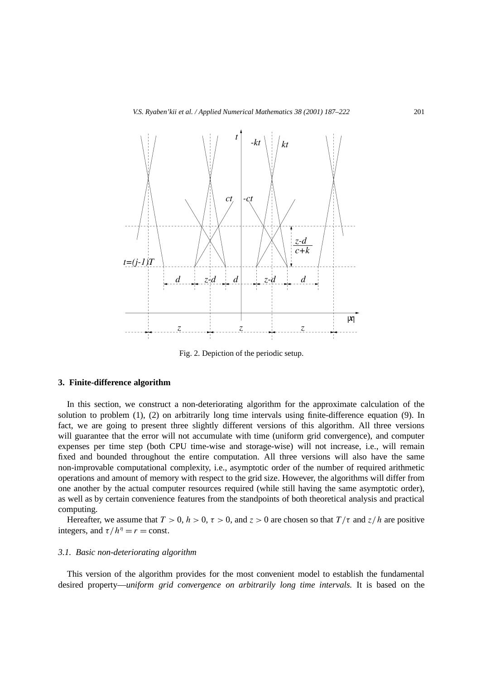

Fig. 2. Depiction of the periodic setup.

## **3. Finite-difference algorithm**

In this section, we construct a non-deteriorating algorithm for the approximate calculation of the solution to problem (1), (2) on arbitrarily long time intervals using finite-difference equation (9). In fact, we are going to present three slightly different versions of this algorithm. All three versions will guarantee that the error will not accumulate with time (uniform grid convergence), and computer expenses per time step (both CPU time-wise and storage-wise) will not increase, i.e., will remain fixed and bounded throughout the entire computation. All three versions will also have the same non-improvable computational complexity, i.e., asymptotic order of the number of required arithmetic operations and amount of memory with respect to the grid size. However, the algorithms will differ from one another by the actual computer resources required (while still having the same asymptotic order), as well as by certain convenience features from the standpoints of both theoretical analysis and practical computing.

Hereafter, we assume that  $T > 0$ ,  $h > 0$ ,  $\tau > 0$ , and  $z > 0$  are chosen so that  $T/\tau$  and  $z/h$  are positive integers, and  $\tau/h^{\eta} = r = \text{const.}$ 

## *3.1. Basic non-deteriorating algorithm*

This version of the algorithm provides for the most convenient model to establish the fundamental desired property—*uniform grid convergence on arbitrarily long time intervals.* It is based on the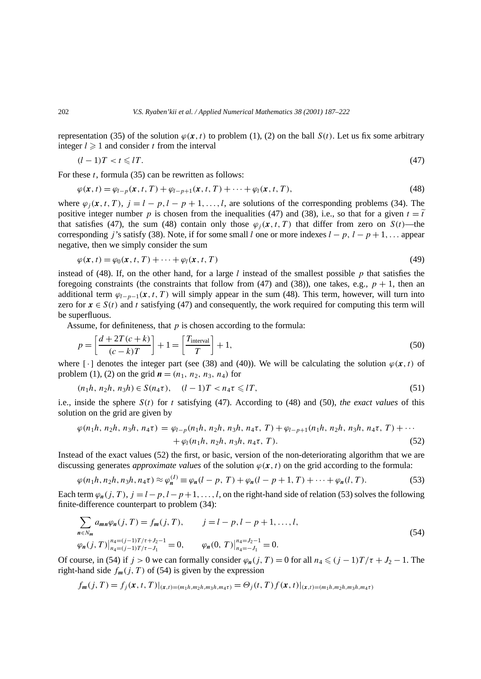representation (35) of the solution  $\varphi(x, t)$  to problem (1), (2) on the ball  $S(t)$ . Let us fix some arbitrary integer  $l \geq 1$  and consider t from the interval

$$
(l-1)T < t \leq lT. \tag{47}
$$

For these *t*, formula (35) can be rewritten as follows:

$$
\varphi(\mathbf{x}, t) = \varphi_{l-p}(\mathbf{x}, t, T) + \varphi_{l-p+1}(\mathbf{x}, t, T) + \dots + \varphi_l(\mathbf{x}, t, T),
$$
\n(48)

where  $\varphi_i(\mathbf{x}, t, T)$ ,  $j = l - p, l - p + 1, \ldots, l$ , are solutions of the corresponding problems (34). The positive integer number *p* is chosen from the inequalities (47) and (38), i.e., so that for a given  $t = \tilde{t}$ that satisfies (47), the sum (48) contain only those  $\varphi_i(x, t, T)$  that differ from zero on *S(t)*—the corresponding *j*'s satisfy (38). Note, if for some small *l* one or more indexes  $l - p$ ,  $l - p + 1$ ,... appear negative, then we simply consider the sum

$$
\varphi(\mathbf{x},t) = \varphi_0(\mathbf{x},t,T) + \dots + \varphi_l(\mathbf{x},t,T) \tag{49}
$$

instead of (48). If, on the other hand, for a large *l* instead of the smallest possible *p* that satisfies the foregoing constraints (the constraints that follow from  $(47)$  and  $(38)$ ), one takes, e.g.,  $p + 1$ , then an additional term  $\varphi_{l-p-1}(x, t, T)$  will simply appear in the sum (48). This term, however, will turn into zero for  $x \in S(t)$  and *t* satisfying (47) and consequently, the work required for computing this term will be superfluous.

Assume, for definiteness, that *p* is chosen according to the formula:

$$
p = \left[\frac{d + 2T(c + k)}{(c - k)T}\right] + 1 = \left[\frac{T_{\text{interval}}}{T}\right] + 1,\tag{50}
$$

where  $[\cdot]$  denotes the integer part (see (38) and (40)). We will be calculating the solution  $\varphi(\mathbf{x},t)$  of problem (1), (2) on the grid  $n = (n_1, n_2, n_3, n_4)$  for

$$
(n_1h, n_2h, n_3h) \in S(n_4\tau), \quad (l-1)T < n_4\tau \leqslant lT,\tag{51}
$$

i.e., inside the sphere *S(t)* for *t* satisfying (47). According to (48) and (50), *the exact values* of this solution on the grid are given by

$$
\varphi(n_1h, n_2h, n_3h, n_4\tau) = \varphi_{l-p}(n_1h, n_2h, n_3h, n_4\tau, T) + \varphi_{l-p+1}(n_1h, n_2h, n_3h, n_4\tau, T) + \cdots + \varphi_l(n_1h, n_2h, n_3h, n_4\tau, T).
$$
\n(52)

Instead of the exact values (52) the first, or basic, version of the non-deteriorating algorithm that we are discussing generates *approximate values* of the solution  $\varphi(x, t)$  on the grid according to the formula:

$$
\varphi(n_1h, n_2h, n_3h, n_4\tau) \approx \varphi_n^{(I)} \equiv \varphi_n(l - p, T) + \varphi_n(l - p + 1, T) + \dots + \varphi_n(l, T). \tag{53}
$$

Each term  $\varphi_n(j, T)$ ,  $j = l - p$ ,  $l - p + 1, \ldots, l$ , on the right-hand side of relation (53) solves the following finite-difference counterpart to problem (34):

$$
\sum_{n \in N_m} a_{mn} \varphi_n(j, T) = f_m(j, T), \qquad j = l - p, l - p + 1, ..., l,
$$
  

$$
\varphi_n(j, T) \Big|_{n_4 = (j-1)T/\tau + J_2 - 1}^{n_4 = (j-1)T/\tau + J_2 - 1} = 0, \qquad \varphi_n(0, T) \Big|_{n_4 = -J_1}^{n_4 = J_2 - 1} = 0.
$$
  
(54)

Of course, in (54) if  $j > 0$  we can formally consider  $\varphi_n(j, T) = 0$  for all  $n_4 \le (j - 1)T/\tau + J_2 - 1$ . The right-hand side  $f_m(i, T)$  of (54) is given by the expression

$$
f_m(j,T) = f_j(\mathbf{x},t,T)|_{(\mathbf{x},t)=(m_1h,m_2h,m_3h,m_4\tau)} = \Theta_j(t,T)f(\mathbf{x},t)|_{(\mathbf{x},t)=(m_1h,m_2h,m_3h,m_4\tau)}
$$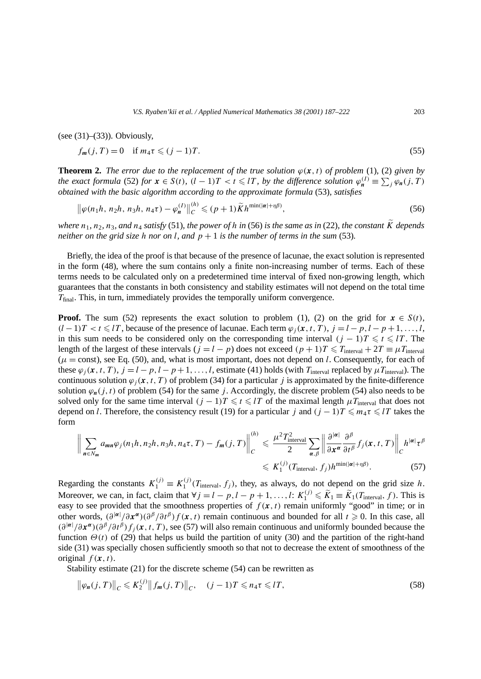(see  $(31)–(33)$ ). Obviously,

$$
f_m(j, T) = 0
$$
 if  $m_4 \tau \le (j - 1)T$ . (55)

**Theorem 2.** The error due to the replacement of the true solution  $\varphi(\mathbf{x},t)$  of problem (1), (2) given by *the exact formula* (52) *for*  $x \in S(t)$ ,  $(l-1)T < t \leq lT$ , *by the difference solution*  $\varphi_n^{(I)} \equiv \sum_j \varphi_n(j, T)$ *obtained with the basic algorithm according to the approximate formula* (53)*, satisfies*

$$
\left\|\varphi(n_1h,\,n_2h,\,n_3h,\,n_4\tau)-\varphi_n^{(I)}\right\|_{C}^{(h)}\leqslant (p+1)\widetilde{K}h^{\min(|\alpha|+\eta\beta)},\tag{56}
$$

*where*  $n_1$ ,  $n_2$ ,  $n_3$ , and  $n_4$  satisfy (51), the power of *h* in (56) is the same as in (22), the constant  $\tilde{K}$  depends *neither on the grid size h nor on l, and*  $p + 1$  *is the number of terms in the sum* (53).

Briefly, the idea of the proof is that because of the presence of lacunae, the exact solution is represented in the form (48), where the sum contains only a finite non-increasing number of terms. Each of these terms needs to be calculated only on a predetermined time interval of fixed non-growing length, which guarantees that the constants in both consistency and stability estimates will not depend on the total time *T*final. This, in turn, immediately provides the temporally uniform convergence.

**Proof.** The sum (52) represents the exact solution to problem (1), (2) on the grid for  $x \in S(t)$ ,  $(l-1)T < t \leq lT$ , because of the presence of lacunae. Each term  $\varphi_j(\mathbf{x}, t, T)$ ,  $j = l - p, l - p + 1, \ldots, l$ , in this sum needs to be considered only on the corresponding time interval  $(j - 1)T \le t \le lT$ . The length of the largest of these intervals  $(j = l - p)$  does not exceed  $(p + 1)T \le T_{interval} + 2T \equiv \mu T_{interval}$  $(\mu = \text{const})$ , see Eq. (50), and, what is most important, does not depend on *l*. Consequently, for each of these  $\varphi_i(\mathbf{x}, t, T)$ ,  $j = l - p$ ,  $l - p + 1, \ldots, l$ , estimate (41) holds (with  $T_{\text{interval}}$  replaced by  $\mu T_{\text{interval}}$ ). The continuous solution  $\varphi_i(x, t, T)$  of problem (34) for a particular *j* is approximated by the finite-difference solution  $\varphi_n(j, t)$  of problem (54) for the same *j*. Accordingly, the discrete problem (54) also needs to be solved only for the same time interval  $(j - 1)T \leq t \leq lT$  of the maximal length  $\mu T_{\text{interval}}$  that does not depend on *l*. Therefore, the consistency result (19) for a particular *j* and  $(j - 1)T \leq m_4 \tau \leq lT$  takes the form

$$
\left\| \sum_{n \in N_m} a_{mn} \varphi_j(n_1 h, n_2 h, n_3 h, n_4 \tau, T) - f_m(j, T) \right\|_C^{(h)} \leq \frac{\mu^2 T_{\text{interval}}^2}{2} \sum_{\alpha, \beta} \left\| \frac{\partial^{|\alpha|}}{\partial x^{\alpha}} \frac{\partial^{\beta}}{\partial t^{\beta}} f_j(x, t, T) \right\|_C h^{|\alpha|} \tau^{\beta} \leq K_1^{(j)}(T_{\text{interval}}, f_j) h^{\min(|\alpha| + \eta \beta)}. \tag{57}
$$

Regarding the constants  $K_1^{(j)} \equiv K_1^{(j)}(T_{\text{interval}}, f_j)$ , they, as always, do not depend on the grid size *h*. Moreover, we can, in fact, claim that  $\forall j = l - p, l - p + 1, \ldots, l$ :  $K_1^{(j)} \leq \widetilde{K}_1 \equiv \widetilde{K}_1(T_{\text{interval}}, f)$ . This is easy to see provided that the smoothness properties of  $f(x, t)$  remain uniformly "good" in time; or in other words,  $(\partial^{|\alpha|}/\partial x^{\alpha})(\partial^{\beta}/\partial t^{\beta})f(x, t)$  remain continuous and bounded for all  $t \ge 0$ . In this case, all  $(\partial^{|\alpha|}/\partial x^{\alpha})(\partial^{\beta}/\partial t^{\beta})f_j(x, t, T)$ , see (57) will also remain continuous and uniformly bounded because the function  $\Theta(t)$  of (29) that helps us build the partition of unity (30) and the partition of the right-hand side (31) was specially chosen sufficiently smooth so that not to decrease the extent of smoothness of the original  $f(x, t)$ .

Stability estimate (21) for the discrete scheme (54) can be rewritten as

$$
\|\varphi_n(j,T)\|_C \leqslant K_2^{(j)} \|f_m(j,T)\|_C, \quad (j-1)T \leqslant n_4 \tau \leqslant lT,\tag{58}
$$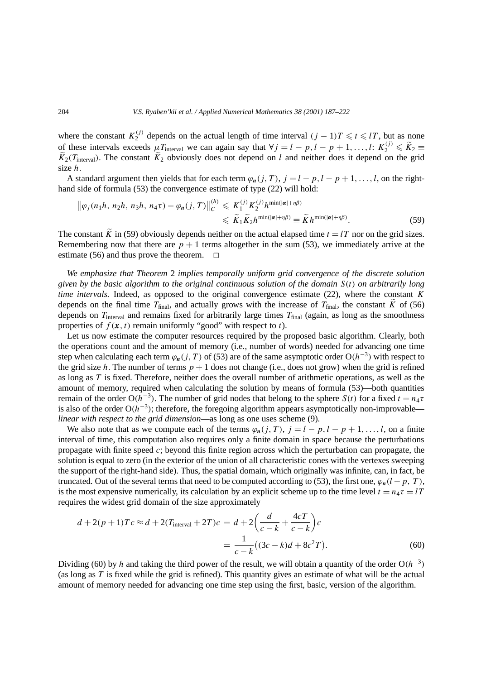where the constant  $K_2^{(j)}$  depends on the actual length of time interval  $(j - 1)T \leq t \leq lT$ , but as none of these intervals exceeds  $\mu_{\mathcal{I}} T_{\text{interval}}$  we can again say that  $\forall j = l - p, l - p + 1, ..., l: K_2^{(j)} \leq \widetilde{K}_2 \equiv$  $\widetilde{K}_2(T_{\text{interval}})$ . The constant  $\widetilde{K}_2$  obviously does not depend on *l* and neither does it depend on the grid size *h*.

A standard argument then yields that for each term  $\varphi_n(j, T)$ ,  $j = l - p, l - p + 1, \ldots, l$ , on the righthand side of formula (53) the convergence estimate of type (22) will hold:

$$
\|\varphi_j(n_1h, n_2h, n_3h, n_4\tau) - \varphi_n(j, T)\|_{C}^{(h)} \leqslant K_1^{(j)} K_2^{(j)} h^{\min(|\alpha| + \eta \beta)}
$$
  

$$
\leqslant \widetilde{K}_1 \widetilde{K}_2 h^{\min(|\alpha| + \eta \beta)} \equiv \widetilde{K} h^{\min(|\alpha| + \eta \beta)}.
$$
 (59)

The constant  $\tilde{K}$  in (59) obviously depends neither on the actual elapsed time  $t = lT$  nor on the grid sizes. Remembering now that there are  $p + 1$  terms altogether in the sum (53), we immediately arrive at the estimate (56) and thus prove the theorem.  $\Box$ 

*We emphasize that Theorem* 2 *implies temporally uniform grid convergence of the discrete solution given by the basic algorithm to the original continuous solution of the domain S(t) on arbitrarily long time intervals.* Indeed, as opposed to the original convergence estimate (22), where the constant *K* depends on the final time  $T_{\text{final}}$ , and actually grows with the increase of  $T_{\text{final}}$ , the constant *K* of (56) depends on  $T_{\text{interval}}$  and remains fixed for arbitrarily large times  $T_{\text{final}}$  (again, as long as the smoothness properties of  $f(x, t)$  remain uniformly "good" with respect to *t*).

Let us now estimate the computer resources required by the proposed basic algorithm. Clearly, both the operations count and the amount of memory (i.e., number of words) needed for advancing one time step when calculating each term  $\varphi_n(j, T)$  of (53) are of the same asymptotic order  $O(h^{-3})$  with respect to the grid size *h*. The number of terms  $p + 1$  does not change (i.e., does not grow) when the grid is refined as long as *T* is fixed. Therefore, neither does the overall number of arithmetic operations, as well as the amount of memory, required when calculating the solution by means of formula (53)—both quantities remain of the order  $O(h^{-3})$ . The number of grid nodes that belong to the sphere  $S(t)$  for a fixed  $t = n_4 \tau$ is also of the order  $O(h^{-3})$ ; therefore, the foregoing algorithm appears asymptotically non-improvable *linear with respect to the grid dimension*—as long as one uses scheme (9).

We also note that as we compute each of the terms  $\varphi_n(i, T)$ ,  $j = l - p, l - p + 1, \ldots, l$ , on a finite interval of time, this computation also requires only a finite domain in space because the perturbations propagate with finite speed *c*; beyond this finite region across which the perturbation can propagate, the solution is equal to zero (in the exterior of the union of all characteristic cones with the vertexes sweeping the support of the right-hand side). Thus, the spatial domain, which originally was infinite, can, in fact, be truncated. Out of the several terms that need to be computed according to (53), the first one,  $\varphi_n(l - p, T)$ , is the most expensive numerically, its calculation by an explicit scheme up to the time level  $t = n<sub>4</sub> \tau = lT$ requires the widest grid domain of the size approximately

$$
d + 2(p+1)Tc \approx d + 2(T_{\text{interval}} + 2T)c = d + 2\left(\frac{d}{c-k} + \frac{4cT}{c-k}\right)c
$$

$$
= \frac{1}{c-k}((3c-k)d + 8c^2T).
$$
(60)

Dividing (60) by *h* and taking the third power of the result, we will obtain a quantity of the order O*(h*<sup>−</sup><sup>3</sup>*)* (as long as *T* is fixed while the grid is refined). This quantity gives an estimate of what will be the actual amount of memory needed for advancing one time step using the first, basic, version of the algorithm.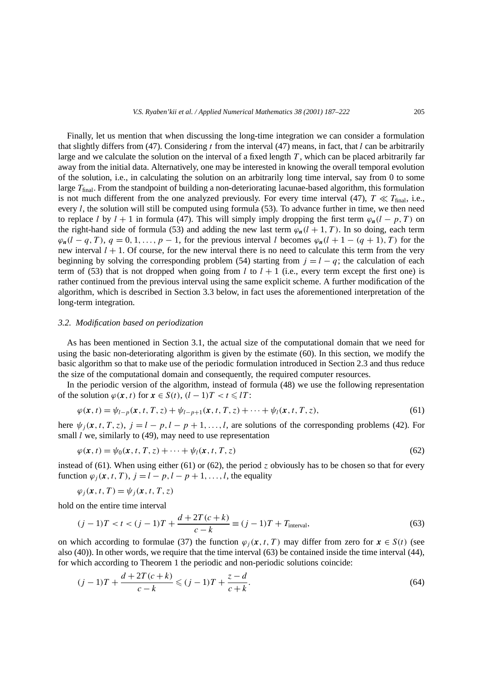Finally, let us mention that when discussing the long-time integration we can consider a formulation

that slightly differs from (47). Considering *t* from the interval (47) means, in fact, that *l* can be arbitrarily large and we calculate the solution on the interval of a fixed length *T* , which can be placed arbitrarily far away from the initial data. Alternatively, one may be interested in knowing the overall temporal evolution of the solution, i.e., in calculating the solution on an arbitrarily long time interval, say from 0 to some large *T*final. From the standpoint of building a non-deteriorating lacunae-based algorithm, this formulation is not much different from the one analyzed previously. For every time interval (47),  $T \ll T_{\text{final}}$ , i.e., every *l*, the solution will still be computed using formula (53). To advance further in time, we then need to replace *l* by  $l + 1$  in formula (47). This will simply imply dropping the first term  $\varphi_n(l - p, T)$  on the right-hand side of formula (53) and adding the new last term  $\varphi_n(l+1, T)$ . In so doing, each term  $\varphi_n(l - q, T), q = 0, 1, \ldots, p - 1$ , for the previous interval *l* becomes  $\varphi_n(l + 1 - (q + 1), T)$  for the new interval  $l + 1$ . Of course, for the new interval there is no need to calculate this term from the very beginning by solving the corresponding problem (54) starting from  $j = l - q$ ; the calculation of each term of (53) that is not dropped when going from *l* to  $l + 1$  (i.e., every term except the first one) is rather continued from the previous interval using the same explicit scheme. A further modification of the algorithm, which is described in Section 3.3 below, in fact uses the aforementioned interpretation of the long-term integration.

#### *3.2. Modification based on periodization*

As has been mentioned in Section 3.1, the actual size of the computational domain that we need for using the basic non-deteriorating algorithm is given by the estimate (60). In this section, we modify the basic algorithm so that to make use of the periodic formulation introduced in Section 2.3 and thus reduce the size of the computational domain and consequently, the required computer resources.

In the periodic version of the algorithm, instead of formula (48) we use the following representation of the solution  $\varphi(\mathbf{x}, t)$  for  $\mathbf{x} \in S(t)$ ,  $(l - 1)T < t \le lT$ :

$$
\varphi(\mathbf{x},t) = \psi_{l-p}(\mathbf{x},t,T,z) + \psi_{l-p+1}(\mathbf{x},t,T,z) + \dots + \psi_l(\mathbf{x},t,T,z),
$$
\n(61)

here  $\psi_i$  ( $\mathbf{x}, t, T, z$ ),  $j = l - p, l - p + 1, \ldots, l$ , are solutions of the corresponding problems (42). For small *l* we, similarly to (49), may need to use representation

$$
\varphi(\mathbf{x},t) = \psi_0(\mathbf{x},t,T,z) + \dots + \psi_l(\mathbf{x},t,T,z) \tag{62}
$$

instead of (61). When using either (61) or (62), the period *z* obviously has to be chosen so that for every function  $\varphi_i$  ( $\mathbf{x}, t, T$ ),  $j = l - p, l - p + 1, \ldots, l$ , the equality

$$
\varphi_j(\mathbf{x}, t, T) = \psi_j(\mathbf{x}, t, T, z)
$$

hold on the entire time interval

$$
(j-1)T < t < (j-1)T + \frac{d + 2T(c+k)}{c-k} \equiv (j-1)T + T_{\text{interval}},\tag{63}
$$

on which according to formulae (37) the function  $\varphi_i(x, t, T)$  may differ from zero for  $x \in S(t)$  (see also (40)). In other words, we require that the time interval (63) be contained inside the time interval (44), for which according to Theorem 1 the periodic and non-periodic solutions coincide:

$$
(j-1)T + \frac{d + 2T(c+k)}{c-k} \le (j-1)T + \frac{z-d}{c+k}.
$$
\n(64)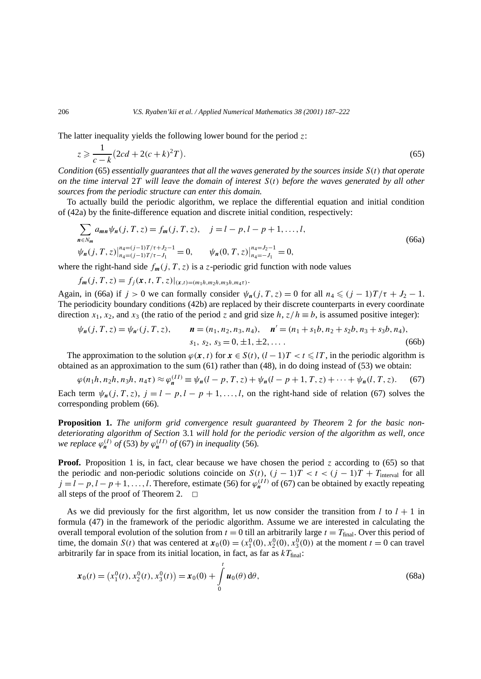The latter inequality yields the following lower bound for the period *z*:

$$
z \geqslant \frac{1}{c-k} \left(2cd + 2(c+k)^2 T\right). \tag{65}
$$

*Condition* (65) *essentially guarantees that all the waves generated by the sources inside S(t) that operate on the time interval* 2*T will leave the domain of interest S(t) before the waves generated by all other sources from the periodic structure can enter this domain.*

To actually build the periodic algorithm, we replace the differential equation and initial condition of (42a) by the finite-difference equation and discrete initial condition, respectively:

$$
\sum_{n \in N_m} a_{mn} \psi_n(j, T, z) = f_m(j, T, z), \quad j = l - p, l - p + 1, ..., l,
$$
  
\n
$$
\psi_n(j, T, z)|_{n_4 = (j-1)T/\tau - J_1}^{n_4 = (j-1)T/\tau + J_2 - 1} = 0, \qquad \psi_n(0, T, z)|_{n_4 = -J_1}^{n_4 = J_2 - 1} = 0,
$$
\n(66a)

where the right-hand side  $f_m(j, T, z)$  is a *z*-periodic grid function with node values

 $f_m(j, T, z) = f_j(x, t, T, z)|_{(x,t)=(m_1h, m_2h, m_3h, m_4\tau)}$ .

Again, in (66a) if  $j > 0$  we can formally consider  $\psi_n(j, T, z) = 0$  for all  $n_4 \leq (j - 1)T/\tau + J_2 - 1$ . The periodicity boundary conditions (42b) are replaced by their discrete counterparts in every coordinate direction  $x_1, x_2$ , and  $x_3$  (the ratio of the period *z* and grid size  $h, z/h \equiv b$ , is assumed positive integer):

$$
\psi_n(j, T, z) = \psi_{n'}(j, T, z), \qquad \mathbf{n} = (n_1, n_2, n_3, n_4), \qquad \mathbf{n}' = (n_1 + s_1 b, n_2 + s_2 b, n_3 + s_3 b, n_4),
$$

$$
s_1, s_2, s_3 = 0, \pm 1, \pm 2, \dots.
$$
(66b)

The approximation to the solution  $\varphi(x, t)$  for  $x \in S(t)$ ,  $(l-1)T < t \leq lT$ , in the periodic algorithm is obtained as an approximation to the sum (61) rather than (48), in do doing instead of (53) we obtain:

 $\varphi(n_1h, n_2h, n_3h, n_4\tau) \approx \varphi_n^{(II)} \equiv \psi_n(l-p, T, z) + \psi_n(l-p+1, T, z) + \cdots + \psi_n(l, T, z).$  (67) Each term  $\psi_n(j, T, z)$ ,  $j = l - p$ ,  $l - p + 1, \ldots, l$ , on the right-hand side of relation (67) solves the corresponding problem (66).

**Proposition 1.** *The uniform grid convergence result guaranteed by Theorem* 2 *for the basic nondeteriorating algorithm of Section* 3.1 *will hold for the periodic version of the algorithm as well, once we replace*  $\varphi_n^{(I)}$  *of* (53) *by*  $\varphi_n^{(II)}$  *of* (67) *in inequality* (56)*.* 

**Proof.** Proposition 1 is, in fact, clear because we have chosen the period *z* according to (65) so that the periodic and non-periodic solutions coincide on  $S(t)$ ,  $(j - 1)T < t < (j - 1)T + T<sub>interval</sub>$  for all  $j = l - p, l - p + 1, \ldots, l$ . Therefore, estimate (56) for  $\varphi_n^{(II)}$  of (67) can be obtained by exactly repeating all steps of the proof of Theorem 2.  $\Box$ 

As we did previously for the first algorithm, let us now consider the transition from  $l$  to  $l + 1$  in formula (47) in the framework of the periodic algorithm. Assume we are interested in calculating the overall temporal evolution of the solution from  $t = 0$  till an arbitrarily large  $t = T_{final}$ . Over this period of time, the domain *S*(*t*) that was centered at  $x_0(0) = (x_1^0(0), x_2^0(0), x_3^0(0))$  at the moment *t* = 0 can travel arbitrarily far in space from its initial location, in fact, as far as  $kT_{\text{final}}$ :

$$
\boldsymbol{x}_0(t) = (x_1^0(t), x_2^0(t), x_3^0(t)) = \boldsymbol{x}_0(0) + \int_0^t \boldsymbol{u}_0(\theta) d\theta,
$$
\n(68a)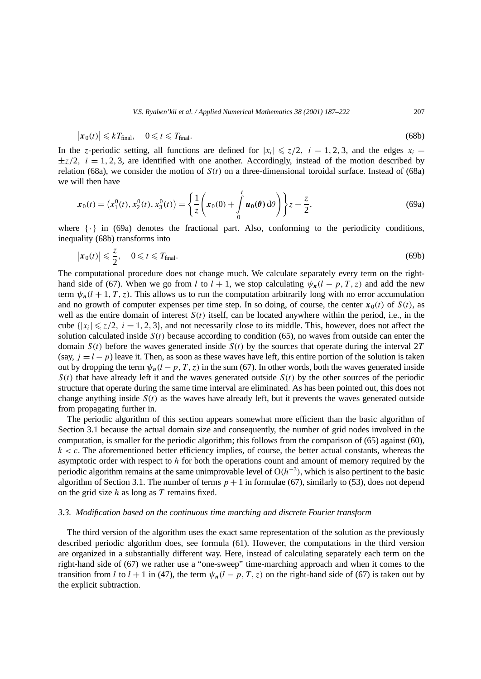$$
|\mathbf{x}_0(t)| \leqslant kT_{\text{final}}, \quad 0 \leqslant t \leqslant T_{\text{final}}.\tag{68b}
$$

In the *z*-periodic setting, all functions are defined for  $|x_i| \le z/2$ ,  $i = 1, 2, 3$ , and the edges  $x_i =$  $\pm z/2$ ,  $i = 1, 2, 3$ , are identified with one another. Accordingly, instead of the motion described by relation (68a), we consider the motion of  $S(t)$  on a three-dimensional toroidal surface. Instead of (68a) we will then have

$$
\boldsymbol{x}_0(t) = (x_1^0(t), x_2^0(t), x_3^0(t)) = \left\{ \frac{1}{z} \left( \boldsymbol{x}_0(0) + \int_0^t \boldsymbol{u}_0(\boldsymbol{\theta}) d\boldsymbol{\theta} \right) \right\} z - \frac{z}{2},
$$
(69a)

where  $\{\cdot\}$  in (69a) denotes the fractional part. Also, conforming to the periodicity conditions, inequality (68b) transforms into

$$
|\boldsymbol{x}_0(t)| \leqslant \frac{z}{2}, \quad 0 \leqslant t \leqslant T_{\text{final}}.\tag{69b}
$$

The computational procedure does not change much. We calculate separately every term on the righthand side of (67). When we go from *l* to  $l + 1$ , we stop calculating  $\psi_n(l - p, T, z)$  and add the new term  $\psi_n(l+1, T, z)$ . This allows us to run the computation arbitrarily long with no error accumulation and no growth of computer expenses per time step. In so doing, of course, the center  $x<sub>0</sub>(t)$  of  $S(t)$ , as well as the entire domain of interest  $S(t)$  itself, can be located anywhere within the period, i.e., in the cube  $\{|x_i| \leq z/2, i = 1, 2, 3\}$ , and not necessarily close to its middle. This, however, does not affect the solution calculated inside  $S(t)$  because according to condition (65), no waves from outside can enter the domain *S(t)* before the waves generated inside *S(t)* by the sources that operate during the interval 2*T* (say,  $j = l - p$ ) leave it. Then, as soon as these waves have left, this entire portion of the solution is taken out by dropping the term  $\psi_n(l - p, T, z)$  in the sum (67). In other words, both the waves generated inside  $S(t)$  that have already left it and the waves generated outside  $S(t)$  by the other sources of the periodic structure that operate during the same time interval are eliminated. As has been pointed out, this does not change anything inside  $S(t)$  as the waves have already left, but it prevents the waves generated outside from propagating further in.

The periodic algorithm of this section appears somewhat more efficient than the basic algorithm of Section 3.1 because the actual domain size and consequently, the number of grid nodes involved in the computation, is smaller for the periodic algorithm; this follows from the comparison of (65) against (60),  $k < c$ . The aforementioned better efficiency implies, of course, the better actual constants, whereas the asymptotic order with respect to *h* for both the operations count and amount of memory required by the periodic algorithm remains at the same unimprovable level of  $O(h^{-3})$ , which is also pertinent to the basic algorithm of Section 3.1. The number of terms  $p + 1$  in formulae (67), similarly to (53), does not depend on the grid size *h* as long as *T* remains fixed.

#### *3.3. Modification based on the continuous time marching and discrete Fourier transform*

The third version of the algorithm uses the exact same representation of the solution as the previously described periodic algorithm does, see formula (61). However, the computations in the third version are organized in a substantially different way. Here, instead of calculating separately each term on the right-hand side of (67) we rather use a "one-sweep" time-marching approach and when it comes to the transition from *l* to  $l + 1$  in (47), the term  $\psi_n(l - p, T, z)$  on the right-hand side of (67) is taken out by the explicit subtraction.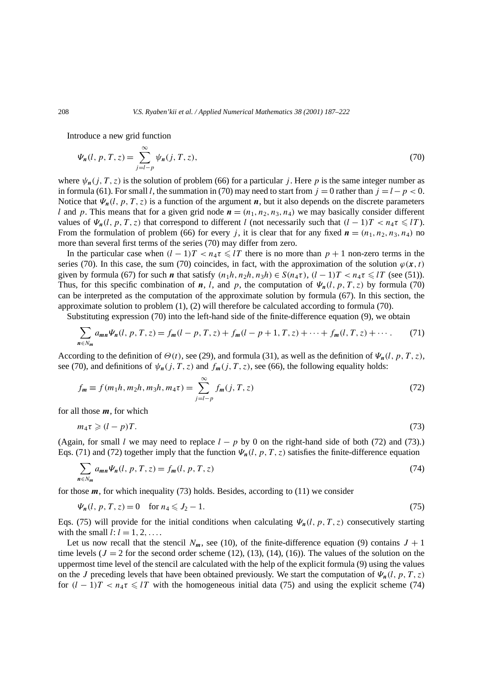Introduce a new grid function

$$
\Psi_n(l, p, T, z) = \sum_{j=l-p}^{\infty} \psi_n(j, T, z),
$$
\n(70)

where  $\psi_n(j, T, z)$  is the solution of problem (66) for a particular *j*. Here *p* is the same integer number as in formula (61). For small *l*, the summation in (70) may need to start from  $j = 0$  rather than  $j = l - p < 0$ . Notice that  $\Psi_n(l, p, T, z)$  is a function of the argument *n*, but it also depends on the discrete parameters *l* and *p*. This means that for a given grid node  $n = (n_1, n_2, n_3, n_4)$  we may basically consider different values of  $\Psi_n(l, p, T, z)$  that correspond to different *l* (not necessarily such that  $(l-1)T < n_4\tau \leq lT$ ). From the formulation of problem (66) for every *j*, it is clear that for any fixed  $n = (n_1, n_2, n_3, n_4)$  no more than several first terms of the series (70) may differ from zero.

In the particular case when  $(l - 1)T < n_4\tau \le lT$  there is no more than  $p + 1$  non-zero terms in the series (70). In this case, the sum (70) coincides, in fact, with the approximation of the solution  $\varphi(\mathbf{x},t)$ given by formula (67) for such *n* that satisfy  $(n_1h, n_2h, n_3h) \in S(n_4\tau)$ ,  $(l-1)T < n_4\tau \leq lT$  (see (51)). Thus, for this specific combination of *n*, *l*, and *p*, the computation of  $\Psi_n(l, p, T, z)$  by formula (70) can be interpreted as the computation of the approximate solution by formula (67). In this section, the approximate solution to problem (1), (2) will therefore be calculated according to formula (70).

Substituting expression (70) into the left-hand side of the finite-difference equation (9), we obtain

$$
\sum_{n \in N_m} a_{mn} \Psi_n(l, p, T, z) = f_m(l - p, T, z) + f_m(l - p + 1, T, z) + \dots + f_m(l, T, z) + \dots \tag{71}
$$

According to the definition of  $\Theta(t)$ , see (29), and formula (31), as well as the definition of  $\Psi_n(l, p, T, z)$ , see (70), and definitions of  $\psi_n(j, T, z)$  and  $f_m(j, T, z)$ , see (66), the following equality holds:

$$
f_m \equiv f(m_1h, m_2h, m_3h, m_4\tau) = \sum_{j=l-p}^{\infty} f_m(j, T, z)
$$
 (72)

for all those *m*, for which

$$
m_4 \tau \geqslant (l - p)T. \tag{73}
$$

(Again, for small *l* we may need to replace  $l - p$  by 0 on the right-hand side of both (72) and (73).) Eqs. (71) and (72) together imply that the function  $\Psi_n(l, p, T, z)$  satisfies the finite-difference equation

$$
\sum_{n \in N_m} a_{mn} \Psi_n(l, p, T, z) = f_m(l, p, T, z)
$$
\n(74)

for those *m*, for which inequality (73) holds. Besides, according to (11) we consider

$$
\Psi_n(l, p, T, z) = 0 \quad \text{for } n_4 \leqslant J_2 - 1. \tag{75}
$$

Eqs. (75) will provide for the initial conditions when calculating  $\Psi_n(l, p, T, z)$  consecutively starting with the small  $l: l = 1, 2, \ldots$ .

Let us now recall that the stencil  $N_m$ , see (10), of the finite-difference equation (9) contains  $J + 1$ time levels  $(J = 2$  for the second order scheme (12), (13), (14), (16)). The values of the solution on the uppermost time level of the stencil are calculated with the help of the explicit formula (9) using the values on the *J* preceding levels that have been obtained previously. We start the computation of  $\Psi_n(l, p, T, z)$ for  $(l - 1)T < n_4\tau \leq lT$  with the homogeneous initial data (75) and using the explicit scheme (74)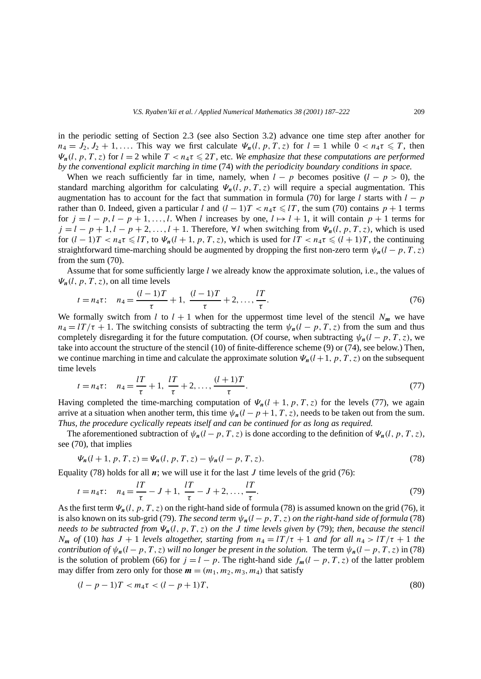in the periodic setting of Section 2.3 (see also Section 3.2) advance one time step after another for  $n_4 = J_2, J_2 + 1, \ldots$  . This way we first calculate  $\Psi_n(l, p, T, z)$  for  $l = 1$  while  $0 < n_4 \tau \leq T$ , then  $\Psi_n(l, p, T, z)$  for  $l = 2$  while  $T < n_4 \tau \leq 2T$ , etc. *We emphasize that these computations are performed by the conventional explicit marching in time* (74) *with the periodicity boundary conditions in space.*

When we reach sufficiently far in time, namely, when  $l - p$  becomes positive  $(l - p > 0)$ , the standard marching algorithm for calculating  $\Psi_n(l, p, T, z)$  will require a special augmentation. This augmentation has to account for the fact that summation in formula (70) for large *l* starts with  $l - p$ rather than 0. Indeed, given a particular *l* and  $(l - 1)T < n_4 \tau \leq lT$ , the sum (70) contains  $p + 1$  terms for  $j = l - p, l - p + 1, \ldots, l$ . When *l* increases by one,  $l \mapsto l + 1$ , it will contain  $p + 1$  terms for  $j = l - p + 1, l - p + 2, \ldots, l + 1$ . Therefore, ∀*l* when switching from  $\Psi_n(l, p, T, z)$ , which is used for  $(l-1)T < n_4\tau \leq lT$ , to  $\Psi_n(l+1, p, T, z)$ , which is used for  $lT < n_4\tau \leq (l+1)T$ , the continuing straightforward time-marching should be augmented by dropping the first non-zero term  $\psi_n(l - p, T, z)$ from the sum (70).

Assume that for some sufficiently large *l* we already know the approximate solution, i.e., the values of  $\Psi_n(l, p, T, z)$ , on all time levels

$$
t = n_4 \tau: \quad n_4 = \frac{(l-1)T}{\tau} + 1, \ \frac{(l-1)T}{\tau} + 2, \dots, \frac{lT}{\tau}.
$$
\n
$$
(76)
$$

We formally switch from *l* to  $l + 1$  when for the uppermost time level of the stencil  $N_m$  we have  $n_4 = lT/\tau + 1$ . The switching consists of subtracting the term  $\psi_n(l - p, T, z)$  from the sum and thus completely disregarding it for the future computation. (Of course, when subtracting  $\psi_n(l - p, T, z)$ , we take into account the structure of the stencil (10) of finite-difference scheme (9) or (74), see below.) Then, we continue marching in time and calculate the approximate solution  $\Psi_n(l+1, p, T, z)$  on the subsequent time levels

$$
t = n_4 \tau
$$
:  $n_4 = \frac{lT}{\tau} + 1$ ,  $\frac{lT}{\tau} + 2$ , ...,  $\frac{(l+1)T}{\tau}$ . (77)

Having completed the time-marching computation of  $\Psi_n(l+1, p, T, z)$  for the levels (77), we again arrive at a situation when another term, this time  $\psi_n(l - p + 1, T, z)$ , needs to be taken out from the sum. *Thus, the procedure cyclically repeats itself and can be continued for as long as required.*

The aforementioned subtraction of  $\psi_n(l - p, T, z)$  is done according to the definition of  $\Psi_n(l, p, T, z)$ , see (70), that implies

$$
\Psi_n(l+1, p, T, z) = \Psi_n(l, p, T, z) - \Psi_n(l-p, T, z). \tag{78}
$$

Equality (78) holds for all  $\boldsymbol{n}$ ; we will use it for the last *J* time levels of the grid (76):

$$
t = n_4 \tau
$$
:  $n_4 = \frac{lT}{\tau} - J + 1$ ,  $\frac{lT}{\tau} - J + 2$ , ...,  $\frac{lT}{\tau}$ . (79)

As the first term *Ψn(l, p, T , z)* on the right-hand side of formula (78) is assumed known on the grid (76), it is also known on its sub-grid (79). *The second term*  $\psi_n(l - p, T, z)$  *on the right-hand side of formula* (78) *needs to be subtracted from Ψn(l, p, T , z) on the J time levels given by* (79); *then, because the stencil N*<sub>*m*</sub> *of* (10) *has*  $J + 1$  *levels altogether, starting from*  $n_4 = lT/\tau + 1$  *and for all*  $n_4 > lT/\tau + 1$  *the contribution of*  $\psi_n(l - p, T, z)$  *will no longer be present in the solution.* The term  $\psi_n(l - p, T, z)$  in (78) is the solution of problem (66) for  $j = l - p$ . The right-hand side  $f_m(l - p, T, z)$  of the latter problem may differ from zero only for those  $m = (m_1, m_2, m_3, m_4)$  that satisfy

$$
(l - p - 1)T < m_4 \tau < (l - p + 1)T,
$$
\n(80)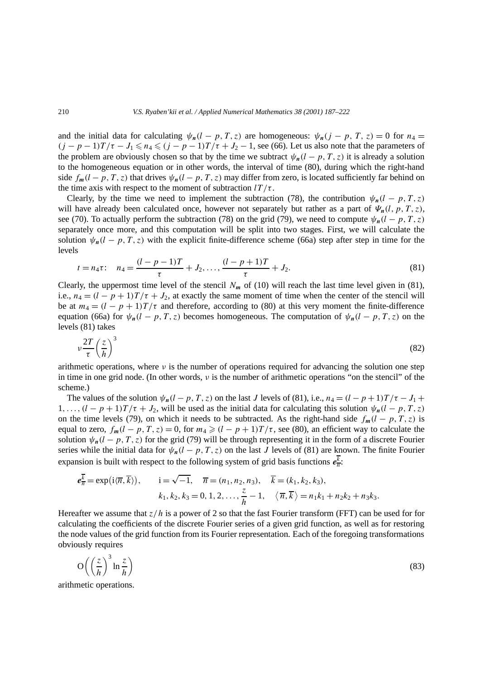and the initial data for calculating  $\psi_n(l - p, T, z)$  are homogeneous:  $\psi_n(j - p, T, z) = 0$  for  $n_4 =$  $(j - p - 1)T/\tau - J_1 \leq n_4 \leq (j - p - 1)T/\tau + J_2 - 1$ , see (66). Let us also note that the parameters of the problem are obviously chosen so that by the time we subtract  $\psi_n(l - p, T, z)$  it is already a solution to the homogeneous equation or in other words, the interval of time (80), during which the right-hand side  $f_m(l - p, T, z)$  that drives  $\psi_n(l - p, T, z)$  may differ from zero, is located sufficiently far behind on the time axis with respect to the moment of subtraction  $lT/\tau$ .

Clearly, by the time we need to implement the subtraction (78), the contribution  $\psi_n(l - p, T, z)$ will have already been calculated once, however not separately but rather as a part of  $\Psi_n(l, p, T, z)$ , see (70). To actually perform the subtraction (78) on the grid (79), we need to compute  $\psi_n(l - p, T, z)$ separately once more, and this computation will be split into two stages. First, we will calculate the solution  $\psi_n(l - p, T, z)$  with the explicit finite-difference scheme (66a) step after step in time for the levels

$$
t = n_4 \tau: \quad n_4 = \frac{(l - p - 1)T}{\tau} + J_2, \dots, \frac{(l - p + 1)T}{\tau} + J_2.
$$
\n
$$
(81)
$$

Clearly, the uppermost time level of the stencil  $N_m$  of (10) will reach the last time level given in (81), i.e.,  $n_4 = (l - p + 1)T/\tau + J_2$ , at exactly the same moment of time when the center of the stencil will be at  $m_4 = (l - p + 1)T/\tau$  and therefore, according to (80) at this very moment the finite-difference equation (66a) for  $\psi_n(l - p, T, z)$  becomes homogeneous. The computation of  $\psi_n(l - p, T, z)$  on the levels (81) takes

$$
\nu \frac{2T}{\tau} \left(\frac{z}{h}\right)^3 \tag{82}
$$

arithmetic operations, where *ν* is the number of operations required for advancing the solution one step in time in one grid node. (In other words, *ν* is the number of arithmetic operations "on the stencil" of the scheme.)

The values of the solution  $\psi_n(l - p, T, z)$  on the last *J* levels of (81), i.e.,  $n_4 = (l - p + 1)T/\tau - J_1 +$  $1, \ldots, (l - p + 1)T/\tau + J_2$ , will be used as the initial data for calculating this solution  $\psi_n(l - p, T, z)$ on the time levels (79), on which it needs to be subtracted. As the right-hand side  $f_m(l - p, T, z)$  is equal to zero,  $f_m(l - p, T, z) = 0$ , for  $m_4 \ge (l - p + 1)T/\tau$ , see (80), an efficient way to calculate the solution  $\psi_n(l - p, T, z)$  for the grid (79) will be through representing it in the form of a discrete Fourier series while the initial data for  $\psi_n(l - p, T, z)$  on the last *J* levels of (81) are known. The finite Fourier expansion is built with respect to the following system of grid basis functions  $e^k_{\overline{n}}$ :

$$
e_{\overline{n}}^{\overline{k}} = \exp(i\langle \overline{n}, \overline{k}\rangle),
$$
  $i = \sqrt{-1}, \overline{n} = (n_1, n_2, n_3), \overline{k} = (k_1, k_2, k_3),$   
 $k_1, k_2, k_3 = 0, 1, 2, ..., \frac{z}{h} - 1, \langle \overline{n}, \overline{k}\rangle = n_1k_1 + n_2k_2 + n_3k_3.$ 

Hereafter we assume that *z/h* is a power of 2 so that the fast Fourier transform (FFT) can be used for for calculating the coefficients of the discrete Fourier series of a given grid function, as well as for restoring the node values of the grid function from its Fourier representation. Each of the foregoing transformations obviously requires

$$
O\left(\left(\frac{z}{h}\right)^3 \ln \frac{z}{h}\right) \tag{83}
$$

arithmetic operations.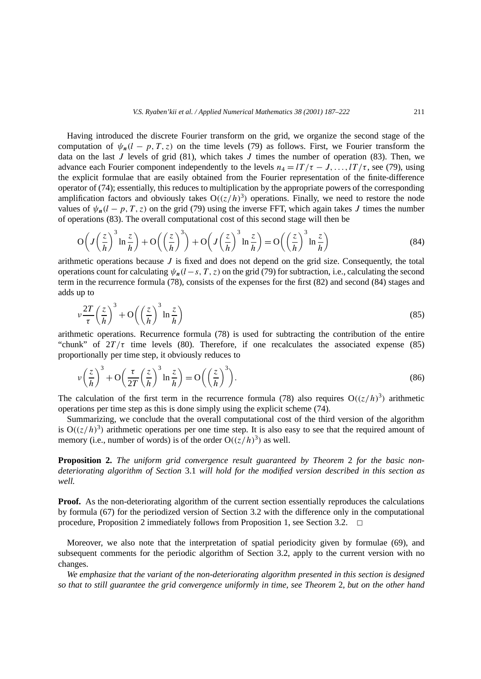Having introduced the discrete Fourier transform on the grid, we organize the second stage of the computation of  $\psi_n(l - p, T, z)$  on the time levels (79) as follows. First, we Fourier transform the data on the last *J* levels of grid (81), which takes *J* times the number of operation (83). Then, we advance each Fourier component independently to the levels  $n_4 = lT/\tau - J, \ldots, lT/\tau$ , see (79), using the explicit formulae that are easily obtained from the Fourier representation of the finite-difference operator of (74); essentially, this reduces to multiplication by the appropriate powers of the corresponding amplification factors and obviously takes  $O((z/h)^3)$  operations. Finally, we need to restore the node values of  $\psi_n(l - p, T, z)$  on the grid (79) using the inverse FFT, which again takes *J* times the number of operations (83). The overall computational cost of this second stage will then be

$$
O\left(J\left(\frac{z}{h}\right)^3 \ln\frac{z}{h}\right) + O\left(\left(\frac{z}{h}\right)^3\right) + O\left(J\left(\frac{z}{h}\right)^3 \ln\frac{z}{h}\right) = O\left(\left(\frac{z}{h}\right)^3 \ln\frac{z}{h}\right)
$$
(84)

arithmetic operations because *J* is fixed and does not depend on the grid size. Consequently, the total operations count for calculating  $\psi_n(l-s, T, z)$  on the grid (79) for subtraction, i.e., calculating the second term in the recurrence formula (78), consists of the expenses for the first (82) and second (84) stages and adds up to

$$
\nu \frac{2T}{\tau} \left(\frac{z}{h}\right)^3 + \mathcal{O}\left(\left(\frac{z}{h}\right)^3 \ln \frac{z}{h}\right) \tag{85}
$$

arithmetic operations. Recurrence formula (78) is used for subtracting the contribution of the entire "chunk" of  $2T/\tau$  time levels (80). Therefore, if one recalculates the associated expense (85) proportionally per time step, it obviously reduces to

$$
\nu\left(\frac{z}{h}\right)^3 + \mathcal{O}\left(\frac{\tau}{2T}\left(\frac{z}{h}\right)^3 \ln\frac{z}{h}\right) = \mathcal{O}\left(\left(\frac{z}{h}\right)^3\right). \tag{86}
$$

The calculation of the first term in the recurrence formula (78) also requires  $O((z/h)^3)$  arithmetic operations per time step as this is done simply using the explicit scheme (74).

Summarizing, we conclude that the overall computational cost of the third version of the algorithm is  $O((z/h)^3)$  arithmetic operations per one time step. It is also easy to see that the required amount of memory (i.e., number of words) is of the order  $O((z/h)^3)$  as well.

**Proposition 2.** *The uniform grid convergence result guaranteed by Theorem* 2 *for the basic nondeteriorating algorithm of Section* 3.1 *will hold for the modified version described in this section as well.*

**Proof.** As the non-deteriorating algorithm of the current section essentially reproduces the calculations by formula (67) for the periodized version of Section 3.2 with the difference only in the computational procedure, Proposition 2 immediately follows from Proposition 1, see Section 3.2.  $\Box$ 

Moreover, we also note that the interpretation of spatial periodicity given by formulae (69), and subsequent comments for the periodic algorithm of Section 3.2, apply to the current version with no changes.

*We emphasize that the variant of the non-deteriorating algorithm presented in this section is designed so that to still guarantee the grid convergence uniformly in time, see Theorem* 2*, but on the other hand*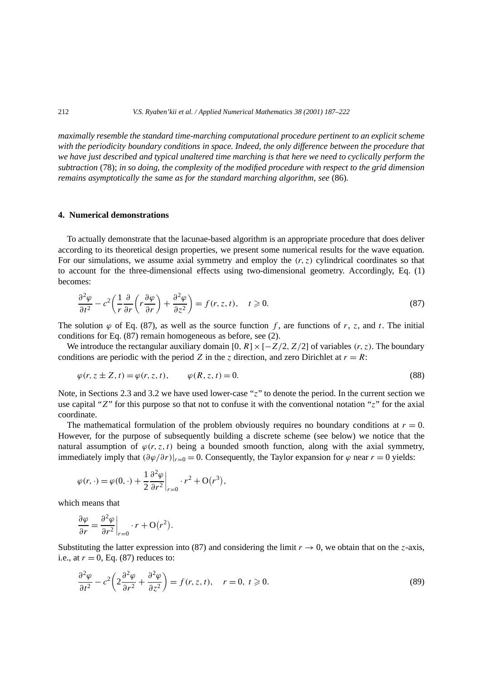*maximally resemble the standard time-marching computational procedure pertinent to an explicit scheme with the periodicity boundary conditions in space. Indeed, the only difference between the procedure that we have just described and typical unaltered time marching is that here we need to cyclically perform the subtraction* (78); *in so doing, the complexity of the modified procedure with respect to the grid dimension remains asymptotically the same as for the standard marching algorithm, see* (86)*.*

# **4. Numerical demonstrations**

To actually demonstrate that the lacunae-based algorithm is an appropriate procedure that does deliver according to its theoretical design properties, we present some numerical results for the wave equation. For our simulations, we assume axial symmetry and employ the *(r, z)* cylindrical coordinates so that to account for the three-dimensional effects using two-dimensional geometry. Accordingly, Eq. (1) becomes:

$$
\frac{\partial^2 \varphi}{\partial t^2} - c^2 \left( \frac{1}{r} \frac{\partial}{\partial r} \left( r \frac{\partial \varphi}{\partial r} \right) + \frac{\partial^2 \varphi}{\partial z^2} \right) = f(r, z, t), \quad t \ge 0.
$$
\n(87)

The solution  $\varphi$  of Eq. (87), as well as the source function f, are functions of r, z, and t. The initial conditions for Eq. (87) remain homogeneous as before, see (2).

We introduce the rectangular auxiliary domain  $[0, R] \times [-Z/2, Z/2]$  of variables  $(r, z)$ . The boundary conditions are periodic with the period *Z* in the *z* direction, and zero Dirichlet at  $r = R$ :

$$
\varphi(r, z \pm Z, t) = \varphi(r, z, t), \qquad \varphi(R, z, t) = 0.
$$
\n(88)

Note, in Sections 2.3 and 3.2 we have used lower-case "*z*" to denote the period. In the current section we use capital "*Z*" for this purpose so that not to confuse it with the conventional notation "*z*" for the axial coordinate.

The mathematical formulation of the problem obviously requires no boundary conditions at  $r = 0$ . However, for the purpose of subsequently building a discrete scheme (see below) we notice that the natural assumption of  $\varphi(r, z, t)$  being a bounded smooth function, along with the axial symmetry, immediately imply that  $(\partial \varphi / \partial r)|_{r=0} = 0$ . Consequently, the Taylor expansion for  $\varphi$  near  $r = 0$  yields:

$$
\varphi(r,\cdot) = \varphi(0,\cdot) + \frac{1}{2} \frac{\partial^2 \varphi}{\partial r^2}\bigg|_{r=0} \cdot r^2 + O(r^3),
$$

which means that

$$
\frac{\partial \varphi}{\partial r} = \frac{\partial^2 \varphi}{\partial r^2}\bigg|_{r=0} \cdot r + O(r^2).
$$

Substituting the latter expression into (87) and considering the limit  $r \to 0$ , we obtain that on the *z*-axis, i.e., at  $r = 0$ , Eq. (87) reduces to:

$$
\frac{\partial^2 \varphi}{\partial t^2} - c^2 \left( 2 \frac{\partial^2 \varphi}{\partial r^2} + \frac{\partial^2 \varphi}{\partial z^2} \right) = f(r, z, t), \quad r = 0, t \ge 0.
$$
\n(89)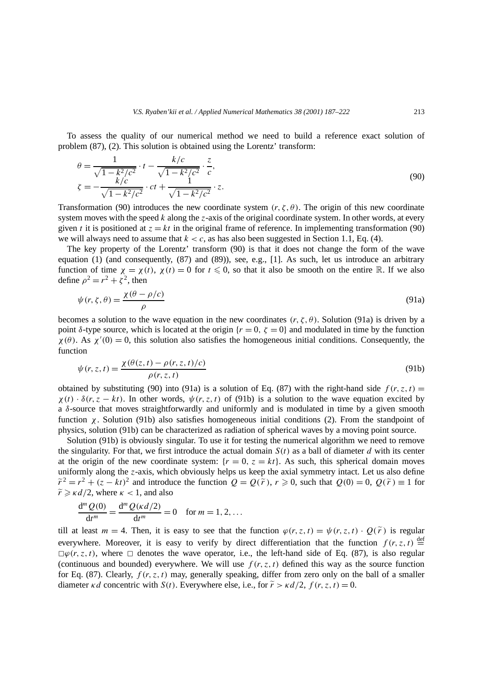To assess the quality of our numerical method we need to build a reference exact solution of problem (87), (2). This solution is obtained using the Lorentz' transform:

$$
\theta = \frac{1}{\sqrt{1 - k^2/c^2}} \cdot t - \frac{k/c}{\sqrt{1 - k^2/c^2}} \cdot \frac{z}{c},
$$
  
\n
$$
\zeta = -\frac{k/c}{\sqrt{1 - k^2/c^2}} \cdot ct + \frac{1}{\sqrt{1 - k^2/c^2}} \cdot z.
$$
\n(90)

Transformation (90) introduces the new coordinate system  $(r, \zeta, \theta)$ . The origin of this new coordinate system moves with the speed *k* along the *z*-axis of the original coordinate system. In other words, at every given *t* it is positioned at  $z = kt$  in the original frame of reference. In implementing transformation (90) we will always need to assume that  $k < c$ , as has also been suggested in Section 1.1, Eq. (4).

The key property of the Lorentz' transform (90) is that it does not change the form of the wave equation (1) (and consequently, (87) and (89)), see, e.g., [1]. As such, let us introduce an arbitrary function of time  $\chi = \chi(t)$ ,  $\chi(t) = 0$  for  $t \le 0$ , so that it also be smooth on the entire R. If we also define  $\rho^2 = r^2 + \zeta^2$ , then

$$
\psi(r,\zeta,\theta) = \frac{\chi(\theta - \rho/c)}{\rho} \tag{91a}
$$

becomes a solution to the wave equation in the new coordinates  $(r, \zeta, \theta)$ . Solution (91a) is driven by a point *δ*-type source, which is located at the origin  $\{r = 0, \, \zeta = 0\}$  and modulated in time by the function  $\chi(\theta)$ . As  $\chi'(0) = 0$ , this solution also satisfies the homogeneous initial conditions. Consequently, the function

$$
\psi(r, z, t) = \frac{\chi(\theta(z, t) - \rho(r, z, t)/c)}{\rho(r, z, t)}
$$
\n(91b)

obtained by substituting (90) into (91a) is a solution of Eq. (87) with the right-hand side  $f(r, z, t) =$  $\chi(t)$  ·  $\delta(r, z - kt)$ . In other words,  $\psi(r, z, t)$  of (91b) is a solution to the wave equation excited by a  $\delta$ -source that moves straightforwardly and uniformly and is modulated in time by a given smooth function *χ*. Solution (91b) also satisfies homogeneous initial conditions (2). From the standpoint of physics, solution (91b) can be characterized as radiation of spherical waves by a moving point source.

Solution (91b) is obviously singular. To use it for testing the numerical algorithm we need to remove the singularity. For that, we first introduce the actual domain  $S(t)$  as a ball of diameter *d* with its center at the origin of the new coordinate system:  $\{r = 0, z = kt\}$ . As such, this spherical domain moves uniformly along the *z*-axis, which obviously helps us keep the axial symmetry intact. Let us also define  $\tilde{r}^2 = r^2 + (z - kt)^2$  and introduce the function  $Q = Q(\tilde{r})$ ,  $r \ge 0$ , such that  $Q(0) = 0$ ,  $Q(\tilde{r}) \equiv 1$  for  $\tilde{r} \ge \kappa d/2$ , where  $\kappa < 1$ , and also

$$
\frac{d^{m} Q(0)}{dt^{m}} = \frac{d^{m} Q(\kappa d/2)}{dt^{m}} = 0 \text{ for } m = 1, 2, ...
$$

till at least  $m = 4$ . Then, it is easy to see that the function  $\varphi(r, z, t) = \psi(r, z, t) \cdot Q(\tilde{r})$  is regular everywhere. Moreover, it is easy to verify by direct differentiation that the function  $f(r, z, t) \stackrel{\text{def}}{=}$  $\Box \varphi(r, z, t)$ , where  $\Box$  denotes the wave operator, i.e., the left-hand side of Eq. (87), is also regular (continuous and bounded) everywhere. We will use  $f(r, z, t)$  defined this way as the source function for Eq. (87). Clearly, *f (r, z, t)* may, generally speaking, differ from zero only on the ball of a smaller diameter *κd* concentric with *S*(*t*). Everywhere else, i.e., for  $\tilde{r} > \kappa d/2$ ,  $f(r, z, t) = 0$ .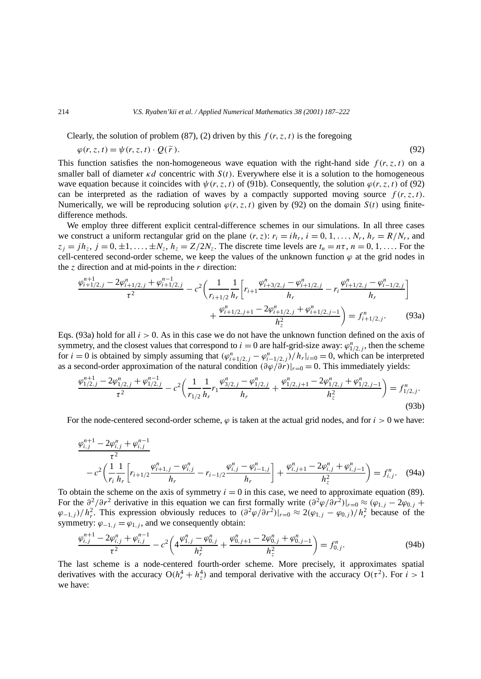Clearly, the solution of problem  $(87)$ ,  $(2)$  driven by this  $f(r, z, t)$  is the foregoing

$$
\varphi(r, z, t) = \psi(r, z, t) \cdot Q(\tilde{r}).
$$
\n(92)

This function satisfies the non-homogeneous wave equation with the right-hand side  $f(r, z, t)$  on a smaller ball of diameter *κd* concentric with *S(t)*. Everywhere else it is a solution to the homogeneous wave equation because it coincides with  $\psi(r, z, t)$  of (91b). Consequently, the solution  $\varphi(r, z, t)$  of (92) can be interpreted as the radiation of waves by a compactly supported moving source  $f(r, z, t)$ . Numerically, we will be reproducing solution  $\varphi(r, z, t)$  given by (92) on the domain *S(t)* using finitedifference methods.

We employ three different explicit central-difference schemes in our simulations. In all three cases we construct a uniform rectangular grid on the plane  $(r, z)$ :  $r_i = ih_r$ ,  $i = 0, 1, \ldots, N_r$ ,  $h_r = R/N_r$ , and  $z_j = jh_z$ ,  $j = 0, \pm 1, \ldots, \pm N_z$ ,  $h_z = Z/2N_z$ . The discrete time levels are  $t_n = n\tau$ ,  $n = 0, 1, \ldots$  For the cell-centered second-order scheme, we keep the values of the unknown function  $\varphi$  at the grid nodes in the *z* direction and at mid-points in the *r* direction:

$$
\frac{\varphi_{i+1/2,j}^{n+1} - 2\varphi_{i+1/2,j}^{n}}{\tau^2} - c^2 \left( \frac{1}{r_{i+1/2}} \frac{1}{h_r} \left[ r_{i+1} \frac{\varphi_{i+3/2,j}^n - \varphi_{i+1/2,j}^n}{h_r} - r_i \frac{\varphi_{i+1/2,j}^n - \varphi_{i-1/2,j}^n}{h_r} \right] + \frac{\varphi_{i+1/2,j+1}^n - 2\varphi_{i+1/2,j}^n + \varphi_{i+1/2,j-1}^n}{h_z^2} \right) = f_{i+1/2,j}^n. \tag{93a}
$$

Eqs. (93a) hold for all *i >* 0. As in this case we do not have the unknown function defined on the axis of symmetry, and the closest values that correspond to  $i = 0$  are half-grid-size away:  $\varphi_{1/2,j}^n$ , then the scheme for  $i = 0$  is obtained by simply assuming that  $(\varphi_{i+1/2,j}^n - \varphi_{i-1/2,j}^n)/h_r|_{i=0} = 0$ , which can be interpreted as a second-order approximation of the natural condition  $(\partial \varphi / \partial r)|_{r=0} = 0$ . This immediately yields:

$$
\frac{\varphi_{1/2,j}^{n+1} - 2\varphi_{1/2,j}^n + \varphi_{1/2,j}^{n-1}}{\tau^2} - c^2 \left( \frac{1}{r_{1/2}} \frac{1}{h_r} r_1 \frac{\varphi_{3/2,j}^n - \varphi_{1/2,j}^n}{h_r} + \frac{\varphi_{1/2,j+1}^n - 2\varphi_{1/2,j}^n + \varphi_{1/2,j-1}^n}{h_z^2} \right) = f_{1/2,j}^n. \tag{93b}
$$

For the node-centered second-order scheme,  $\varphi$  is taken at the actual grid nodes, and for  $i > 0$  we have:

$$
\frac{\varphi_{i,j}^{n+1} - 2\varphi_{i,j}^{n} + \varphi_{i,j}^{n-1}}{\tau^2} - c^2 \left( \frac{1}{r_i} \frac{1}{h_r} \left[ r_{i+1/2} \frac{\varphi_{i+1,j}^{n} - \varphi_{i,j}^{n}}{h_r} - r_{i-1/2} \frac{\varphi_{i,j}^{n} - \varphi_{i-1,j}^{n}}{h_r} \right] + \frac{\varphi_{i,j+1}^{n} - 2\varphi_{i,j}^{n} + \varphi_{i,j-1}^{n}}{h_z^2} \right) = f_{i,j}^{n}.
$$
 (94a)

To obtain the scheme on the axis of symmetry  $i = 0$  in this case, we need to approximate equation (89). For the  $\partial^2/\partial r^2$  derivative in this equation we can first formally write  $(\partial^2 \varphi/\partial r^2)|_{r=0} \approx (\varphi_{1,j} - 2\varphi_{0,j} +$  $\varphi_{-1,j}/h_r^2$ . This expression obviously reduces to  $(\partial^2 \varphi/\partial r^2)|_{r=0} \approx 2(\varphi_{1,j} - \varphi_{0,j})/h_r^2$  because of the symmetry:  $\varphi_{-1,j} = \varphi_{1,j}$ , and we consequently obtain:

$$
\frac{\varphi_{i,j}^{n+1} - 2\varphi_{i,j}^n + \varphi_{i,j}^{n-1}}{\tau^2} - c^2 \left( 4 \frac{\varphi_{1,j}^n - \varphi_{0,j}^n}{h_r^2} + \frac{\varphi_{0,j+1}^n - 2\varphi_{0,j}^n + \varphi_{0,j-1}^n}{h_z^2} \right) = f_{0,j}^n.
$$
\n(94b)

The last scheme is a node-centered fourth-order scheme. More precisely, it approximates spatial derivatives with the accuracy  $O(h_r^4 + h_z^4)$  and temporal derivative with the accuracy  $O(\tau^2)$ . For  $i > 1$ we have: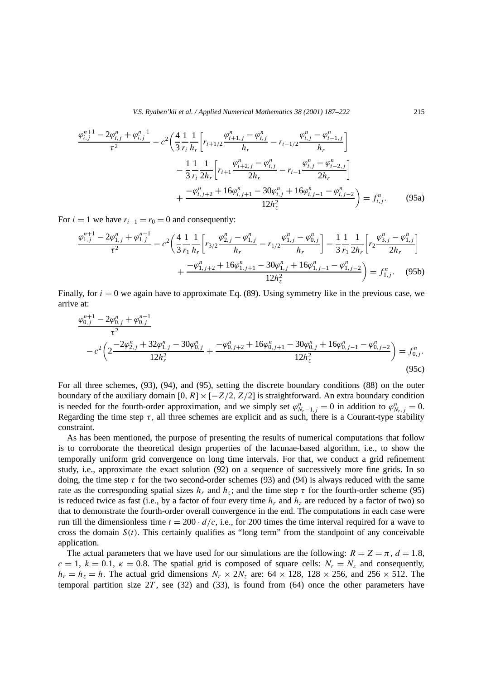$$
\frac{\varphi_{i,j}^{n+1} - 2\varphi_{i,j}^{n} + \varphi_{i,j}^{n-1}}{\tau^2} - c^2 \left( \frac{4}{3} \frac{1}{r_i} \frac{1}{h_r} \left[ r_{i+1/2} \frac{\varphi_{i+1,j}^{n} - \varphi_{i,j}^{n}}{h_r} - r_{i-1/2} \frac{\varphi_{i,j}^{n} - \varphi_{i-1,j}^{n}}{h_r} \right] - \frac{1}{3} \frac{1}{r_i} \frac{1}{2h_r} \left[ r_{i+1} \frac{\varphi_{i+2,j}^{n} - \varphi_{i,j}^{n}}{2h_r} - r_{i-1} \frac{\varphi_{i,j}^{n} - \varphi_{i-2,j}^{n}}{2h_r} \right] + \frac{-\varphi_{i,j+2}^{n} + 16\varphi_{i,j+1}^{n} - 30\varphi_{i,j}^{n} + 16\varphi_{i,j-1}^{n} - \varphi_{i,j-2}^{n}}{12h_z^2} = f_{i,j}^{n}.
$$
\n(95a)

For  $i = 1$  we have  $r_{i-1} = r_0 = 0$  and consequently:

$$
\frac{\varphi_{1,j}^{n+1} - 2\varphi_{1,j}^{n} + \varphi_{1,j}^{n-1}}{\tau^2} - c^2 \left( \frac{4}{3} \frac{1}{r_1} \frac{1}{h_r} \left[ r_{3/2} \frac{\varphi_{2,j}^n - \varphi_{1,j}^n}{h_r} - r_{1/2} \frac{\varphi_{1,j}^n - \varphi_{0,j}^n}{h_r} \right] - \frac{1}{3} \frac{1}{r_1} \frac{1}{2h_r} \left[ r_2 \frac{\varphi_{3,j}^n - \varphi_{1,j}^n}{2h_r} \right] + \frac{-\varphi_{1,j+2}^n + 16\varphi_{1,j+1}^n - 30\varphi_{1,j}^n + 16\varphi_{1,j-1}^n - \varphi_{1,j-2}^n}{12h_z^2} = f_{1,j}^n. \tag{95b}
$$

Finally, for  $i = 0$  we again have to approximate Eq. (89). Using symmetry like in the previous case, we arrive at:

$$
\frac{\varphi_{0,j}^{n+1} - 2\varphi_{0,j}^{n} + \varphi_{0,j}^{n-1}}{\tau^2}
$$
\n
$$
-c^2 \left( 2 \frac{-2\varphi_{2,j}^n + 32\varphi_{1,j}^n - 30\varphi_{0,j}^n}{12h_r^2} + \frac{-\varphi_{0,j+2}^n + 16\varphi_{0,j+1}^n - 30\varphi_{0,j}^n + 16\varphi_{0,j-1}^n - \varphi_{0,j-2}^n}{12h_z^2} \right) = f_{0,j}^n. \tag{95c}
$$

For all three schemes, (93), (94), and (95), setting the discrete boundary conditions (88) on the outer boundary of the auxiliary domain  $[0, R] \times [-Z/2, Z/2]$  is straightforward. An extra boundary condition is needed for the fourth-order approximation, and we simply set  $\varphi_{N_r-1,j}^n = 0$  in addition to  $\varphi_{N_r,j}^n = 0$ . Regarding the time step  $\tau$ , all three schemes are explicit and as such, there is a Courant-type stability constraint.

As has been mentioned, the purpose of presenting the results of numerical computations that follow is to corroborate the theoretical design properties of the lacunae-based algorithm, i.e., to show the temporally uniform grid convergence on long time intervals. For that, we conduct a grid refinement study, i.e., approximate the exact solution (92) on a sequence of successively more fine grids. In so doing, the time step  $\tau$  for the two second-order schemes (93) and (94) is always reduced with the same rate as the corresponding spatial sizes  $h_r$  and  $h_z$ ; and the time step  $\tau$  for the fourth-order scheme (95) is reduced twice as fast (i.e., by a factor of four every time  $h_r$  and  $h_z$  are reduced by a factor of two) so that to demonstrate the fourth-order overall convergence in the end. The computations in each case were run till the dimensionless time  $t = 200 \cdot d/c$ , i.e., for 200 times the time interval required for a wave to cross the domain  $S(t)$ . This certainly qualifies as "long term" from the standpoint of any conceivable application.

The actual parameters that we have used for our simulations are the following:  $R = Z = \pi$ ,  $d = 1.8$ ,  $c = 1$ ,  $k = 0.1$ ,  $\kappa = 0.8$ . The spatial grid is composed of square cells:  $N_r = N_z$  and consequently,  $h_r = h_z = h$ . The actual grid dimensions  $N_r \times 2N_z$  are: 64 × 128, 128 × 256, and 256 × 512. The temporal partition size  $2T$ , see  $(32)$  and  $(33)$ , is found from  $(64)$  once the other parameters have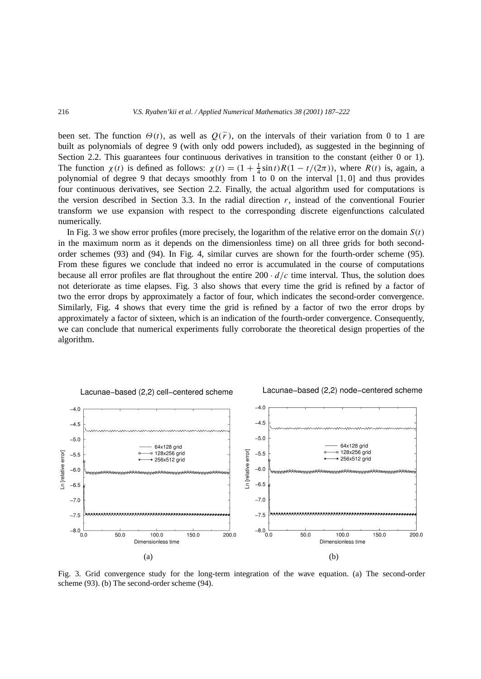been set. The function  $\Theta(t)$ , as well as  $O(\tilde{r})$ , on the intervals of their variation from 0 to 1 are built as polynomials of degree 9 (with only odd powers included), as suggested in the beginning of Section 2.2. This guarantees four continuous derivatives in transition to the constant (either 0 or 1). The function  $\chi(t)$  is defined as follows:  $\chi(t) = (1 + \frac{1}{4} \sin t)R(1 - t/(2\pi))$ , where  $R(t)$  is, again, a polynomial of degree 9 that decays smoothly from 1 to 0 on the interval [1*,* 0] and thus provides four continuous derivatives, see Section 2.2. Finally, the actual algorithm used for computations is the version described in Section 3.3. In the radial direction  $r$ , instead of the conventional Fourier transform we use expansion with respect to the corresponding discrete eigenfunctions calculated numerically.

In Fig. 3 we show error profiles (more precisely, the logarithm of the relative error on the domain *S(t)* in the maximum norm as it depends on the dimensionless time) on all three grids for both secondorder schemes (93) and (94). In Fig. 4, similar curves are shown for the fourth-order scheme (95). From these figures we conclude that indeed no error is accumulated in the course of computations because all error profiles are flat throughout the entire  $200 \cdot d/c$  time interval. Thus, the solution does not deteriorate as time elapses. Fig. 3 also shows that every time the grid is refined by a factor of two the error drops by approximately a factor of four, which indicates the second-order convergence. Similarly, Fig. 4 shows that every time the grid is refined by a factor of two the error drops by approximately a factor of sixteen, which is an indication of the fourth-order convergence. Consequently, we can conclude that numerical experiments fully corroborate the theoretical design properties of the algorithm.



Lacunae-based (2,2) node-centered scheme

Fig. 3. Grid convergence study for the long-term integration of the wave equation. (a) The second-order scheme (93). (b) The second-order scheme (94).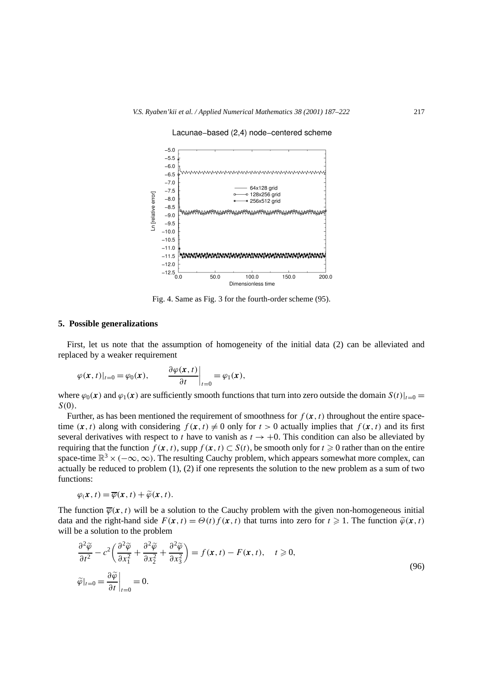

Lacunae-based (2,4) node-centered scheme

Fig. 4. Same as Fig. 3 for the fourth-order scheme (95).

50.0

100.0

Dimensionless time

150.0

200.0

#### **5. Possible generalizations**

First, let us note that the assumption of homogeneity of the initial data (2) can be alleviated and replaced by a weaker requirement

$$
\varphi(\mathbf{x},t)|_{t=0} = \varphi_0(\mathbf{x}), \qquad \frac{\partial \varphi(\mathbf{x},t)}{\partial t}\bigg|_{t=0} = \varphi_1(\mathbf{x}),
$$

 $-11.5$ 

 $-12.0$  $-12.5$ <br> $-12.5$ <br>0.0

where  $\varphi_0(\mathbf{x})$  and  $\varphi_1(\mathbf{x})$  are sufficiently smooth functions that turn into zero outside the domain  $S(t)|_{t=0}$ *S(*0*)*.

Further, as has been mentioned the requirement of smoothness for  $f(x, t)$  throughout the entire spacetime  $(x, t)$  along with considering  $f(x, t) \neq 0$  only for  $t > 0$  actually implies that  $f(x, t)$  and its first several derivatives with respect to *t* have to vanish as  $t \rightarrow +0$ . This condition can also be alleviated by requiring that the function  $f(x, t)$ , supp  $f(x, t) \subset S(t)$ , be smooth only for  $t \ge 0$  rather than on the entire space-time  $\mathbb{R}^3 \times (-\infty, \infty)$ . The resulting Cauchy problem, which appears somewhat more complex, can actually be reduced to problem (1), (2) if one represents the solution to the new problem as a sum of two functions:

$$
\varphi(\mathbf{x},t) = \overline{\varphi}(\mathbf{x},t) + \widetilde{\varphi}(\mathbf{x},t).
$$

The function  $\overline{\varphi}(x, t)$  will be a solution to the Cauchy problem with the given non-homogeneous initial data and the right-hand side  $F(x, t) = \Theta(t) f(x, t)$  that turns into zero for  $t \ge 1$ . The function  $\tilde{\varphi}(x, t)$ will be a solution to the problem

$$
\frac{\partial^2 \widetilde{\varphi}}{\partial t^2} - c^2 \left( \frac{\partial^2 \widetilde{\varphi}}{\partial x_1^2} + \frac{\partial^2 \widetilde{\varphi}}{\partial x_2^2} + \frac{\partial^2 \widetilde{\varphi}}{\partial x_3^2} \right) = f(\mathbf{x}, t) - F(\mathbf{x}, t), \quad t \ge 0,
$$
  

$$
\widetilde{\varphi}|_{t=0} = \frac{\partial \widetilde{\varphi}}{\partial t}|_{t=0} = 0.
$$
 (96)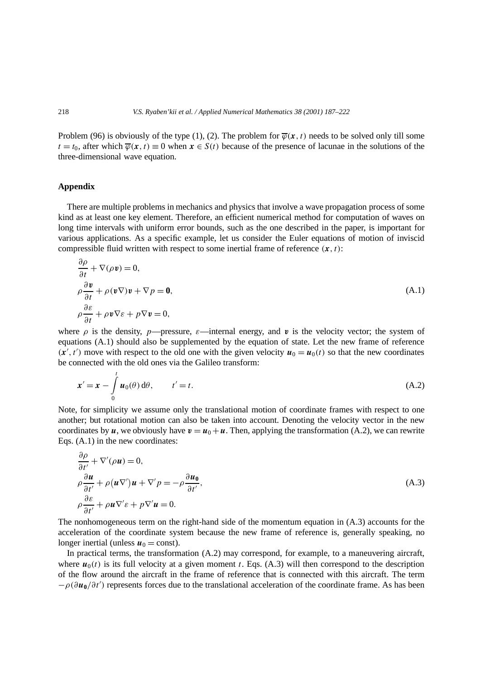Problem (96) is obviously of the type (1), (2). The problem for  $\overline{\varphi}(x,t)$  needs to be solved only till some  $t = t_0$ , after which  $\overline{\varphi}(\mathbf{x}, t) \equiv 0$  when  $\mathbf{x} \in S(t)$  because of the presence of lacunae in the solutions of the three-dimensional wave equation.

# **Appendix**

There are multiple problems in mechanics and physics that involve a wave propagation process of some kind as at least one key element. Therefore, an efficient numerical method for computation of waves on long time intervals with uniform error bounds, such as the one described in the paper, is important for various applications. As a specific example, let us consider the Euler equations of motion of inviscid compressible fluid written with respect to some inertial frame of reference *(x,t)*:

$$
\frac{\partial \rho}{\partial t} + \nabla(\rho \mathbf{v}) = 0,
$$
  
\n
$$
\rho \frac{\partial \mathbf{v}}{\partial t} + \rho(\mathbf{v} \nabla)\mathbf{v} + \nabla p = \mathbf{0},
$$
  
\n
$$
\rho \frac{\partial \varepsilon}{\partial t} + \rho \mathbf{v} \nabla \varepsilon + p \nabla \mathbf{v} = 0,
$$
\n(A.1)

where  $\rho$  is the density, *p*—pressure,  $\varepsilon$ —internal energy, and *v* is the velocity vector; the system of equations (A.1) should also be supplemented by the equation of state. Let the new frame of reference  $(\mathbf{x}', t')$  move with respect to the old one with the given velocity  $\mathbf{u}_0 = \mathbf{u}_0(t)$  so that the new coordinates be connected with the old ones via the Galileo transform:

$$
\mathbf{x}' = \mathbf{x} - \int_{0}^{t} \mathbf{u}_0(\theta) d\theta, \qquad t' = t.
$$
\n(A.2)

Note, for simplicity we assume only the translational motion of coordinate frames with respect to one another; but rotational motion can also be taken into account. Denoting the velocity vector in the new coordinates by *u*, we obviously have  $v = u_0 + u$ . Then, applying the transformation (A.2), we can rewrite Eqs. (A.1) in the new coordinates:

$$
\frac{\partial \rho}{\partial t'} + \nabla'(\rho \mathbf{u}) = 0,
$$
\n
$$
\rho \frac{\partial \mathbf{u}}{\partial t'} + \rho (\mathbf{u} \nabla') \mathbf{u} + \nabla' p = -\rho \frac{\partial \mathbf{u}_0}{\partial t'},
$$
\n
$$
\rho \frac{\partial \varepsilon}{\partial t'} + \rho \mathbf{u} \nabla' \varepsilon + p \nabla' \mathbf{u} = 0.
$$
\n(A.3)

The nonhomogeneous term on the right-hand side of the momentum equation in (A.3) accounts for the acceleration of the coordinate system because the new frame of reference is, generally speaking, no longer inertial (unless  $u_0 = \text{const}$ ).

In practical terms, the transformation (A.2) may correspond, for example, to a maneuvering aircraft, where  $u_0(t)$  is its full velocity at a given moment *t*. Eqs. (A.3) will then correspond to the description of the flow around the aircraft in the frame of reference that is connected with this aircraft. The term  $-\rho(\partial u_0/\partial t')$  represents forces due to the translational acceleration of the coordinate frame. As has been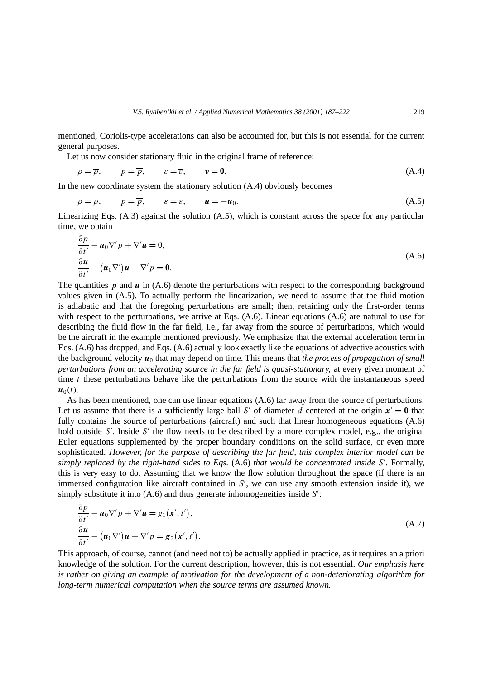mentioned, Coriolis-type accelerations can also be accounted for, but this is not essential for the current general purposes.

Let us now consider stationary fluid in the original frame of reference:

$$
\rho = \overline{\rho}, \qquad p = \overline{p}, \qquad \varepsilon = \overline{\varepsilon}, \qquad v = 0. \tag{A.4}
$$

In the new coordinate system the stationary solution (A.4) obviously becomes

$$
\rho = \overline{\rho}, \qquad p = \overline{p}, \qquad \varepsilon = \overline{\varepsilon}, \qquad u = -u_0. \tag{A.5}
$$

Linearizing Eqs. (A.3) against the solution (A.5), which is constant across the space for any particular time, we obtain

$$
\frac{\partial p}{\partial t'} - u_0 \nabla' p + \nabla' u = 0,
$$
  
\n
$$
\frac{\partial u}{\partial t'} - (u_0 \nabla') u + \nabla' p = 0.
$$
\n(A.6)

The quantities  $p$  and  $\boldsymbol{u}$  in (A.6) denote the perturbations with respect to the corresponding background values given in (A.5). To actually perform the linearization, we need to assume that the fluid motion is adiabatic and that the foregoing perturbations are small; then, retaining only the first-order terms with respect to the perturbations, we arrive at Eqs. (A.6). Linear equations (A.6) are natural to use for describing the fluid flow in the far field, i.e., far away from the source of perturbations, which would be the aircraft in the example mentioned previously. We emphasize that the external acceleration term in Eqs. (A.6) has dropped, and Eqs. (A.6) actually look exactly like the equations of advective acoustics with the background velocity  $u_0$  that may depend on time. This means that *the process of propagation of small perturbations from an accelerating source in the far field is quasi-stationary,* at every given moment of time *t* these perturbations behave like the perturbations from the source with the instantaneous speed  $u_0(t)$ .

As has been mentioned, one can use linear equations (A.6) far away from the source of perturbations. Let us assume that there is a sufficiently large ball *S'* of diameter *d* centered at the origin  $x' = 0$  that fully contains the source of perturbations (aircraft) and such that linear homogeneous equations (A.6) hold outside *S'*. Inside *S'* the flow needs to be described by a more complex model, e.g., the original Euler equations supplemented by the proper boundary conditions on the solid surface, or even more sophisticated. *However, for the purpose of describing the far field, this complex interior model can be simply replaced by the right-hand sides to Eqs.* (A.6) *that would be concentrated inside S .* Formally, this is very easy to do. Assuming that we know the flow solution throughout the space (if there is an immersed configuration like aircraft contained in *S* , we can use any smooth extension inside it), we simply substitute it into (A.6) and thus generate inhomogeneities inside *S* :

$$
\frac{\partial p}{\partial t'} - u_0 \nabla' p + \nabla' u = g_1(x', t'),\n\frac{\partial u}{\partial t'} - (u_0 \nabla') u + \nabla' p = g_2(x', t').
$$
\n(A.7)

This approach, of course, cannot (and need not to) be actually applied in practice, as it requires an a priori knowledge of the solution. For the current description, however, this is not essential. *Our emphasis here is rather on giving an example of motivation for the development of a non-deteriorating algorithm for long-term numerical computation when the source terms are assumed known.*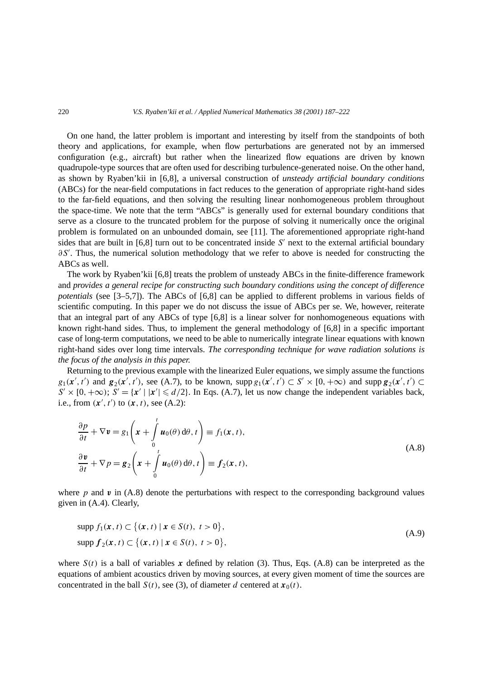On one hand, the latter problem is important and interesting by itself from the standpoints of both theory and applications, for example, when flow perturbations are generated not by an immersed configuration (e.g., aircraft) but rather when the linearized flow equations are driven by known quadrupole-type sources that are often used for describing turbulence-generated noise. On the other hand, as shown by Ryaben'kii in [6,8], a universal construction of *unsteady artificial boundary conditions* (ABCs) for the near-field computations in fact reduces to the generation of appropriate right-hand sides to the far-field equations, and then solving the resulting linear nonhomogeneous problem throughout the space-time. We note that the term "ABCs" is generally used for external boundary conditions that serve as a closure to the truncated problem for the purpose of solving it numerically once the original problem is formulated on an unbounded domain, see [11]. The aforementioned appropriate right-hand sides that are built in  $[6,8]$  turn out to be concentrated inside  $S'$  next to the external artificial boundary ∂S'. Thus, the numerical solution methodology that we refer to above is needed for constructing the ABCs as well.

The work by Ryaben'kii [6,8] treats the problem of unsteady ABCs in the finite-difference framework and *provides a general recipe for constructing such boundary conditions using the concept of difference potentials* (see [3–5,7]). The ABCs of [6,8] can be applied to different problems in various fields of scientific computing. In this paper we do not discuss the issue of ABCs per se. We, however, reiterate that an integral part of any ABCs of type [6,8] is a linear solver for nonhomogeneous equations with known right-hand sides. Thus, to implement the general methodology of [6,8] in a specific important case of long-term computations, we need to be able to numerically integrate linear equations with known right-hand sides over long time intervals. *The corresponding technique for wave radiation solutions is the focus of the analysis in this paper.*

Returning to the previous example with the linearized Euler equations, we simply assume the functions  $g_1(x',t')$  and  $g_2(x',t')$ , see (A.7), to be known, supp  $g_1(x',t') \subset S' \times [0,+\infty)$  and supp  $g_2(x',t') \subset$  $S' \times [0, +\infty)$ ;  $S' = \{x' \mid |x'| \le d/2\}$ . In Eqs. (A.7), let us now change the independent variables back, i.e., from  $(x', t')$  to  $(x, t)$ , see (A.2):

$$
\frac{\partial p}{\partial t} + \nabla v = g_1 \left( \mathbf{x} + \int_0^t \mathbf{u}_0(\theta) d\theta, t \right) \equiv f_1(\mathbf{x}, t),
$$
  
\n
$$
\frac{\partial v}{\partial t} + \nabla p = g_2 \left( \mathbf{x} + \int_0^t \mathbf{u}_0(\theta) d\theta, t \right) \equiv f_2(\mathbf{x}, t),
$$
\n(A.8)

where  $p$  and  $v$  in (A.8) denote the perturbations with respect to the corresponding background values given in (A.4). Clearly,

$$
\text{supp } f_1(\mathbf{x}, t) \subset \{(\mathbf{x}, t) \mid \mathbf{x} \in S(t), \ t > 0\},
$$
\n
$$
\text{supp } f_2(\mathbf{x}, t) \subset \{(\mathbf{x}, t) \mid \mathbf{x} \in S(t), \ t > 0\},
$$
\n(A.9)

where  $S(t)$  is a ball of variables x defined by relation (3). Thus, Eqs. (A.8) can be interpreted as the equations of ambient acoustics driven by moving sources, at every given moment of time the sources are concentrated in the ball  $S(t)$ , see (3), of diameter *d* centered at  $x_0(t)$ .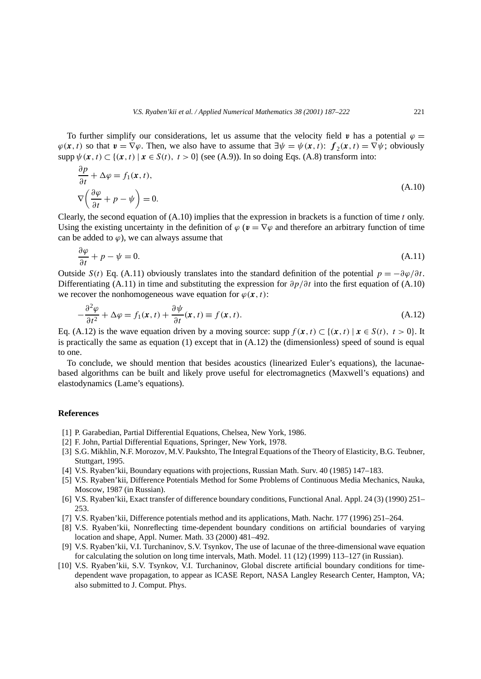To further simplify our considerations, let us assume that the velocity field *v* has a potential  $\varphi =$  $\varphi$ (*x,t*) so that  $v = \nabla \varphi$ . Then, we also have to assume that  $\exists \psi = \psi(x, t)$ :  $f_2(x, t) = \nabla \psi$ ; obviously supp  $\psi(\mathbf{x}, t) \subset \{(\mathbf{x}, t) \mid \mathbf{x} \in S(t), t > 0\}$  (see (A.9)). In so doing Eqs. (A.8) transform into:

$$
\frac{\partial p}{\partial t} + \Delta \varphi = f_1(\mathbf{x}, t),
$$
  
\n
$$
\nabla \left( \frac{\partial \varphi}{\partial t} + p - \psi \right) = 0.
$$
\n(A.10)

Clearly, the second equation of (A.10) implies that the expression in brackets is a function of time *t* only. Using the existing uncertainty in the definition of  $\varphi$  ( $v = \nabla \varphi$  and therefore an arbitrary function of time can be added to  $\varphi$ ), we can always assume that

$$
\frac{\partial \varphi}{\partial t} + p - \psi = 0. \tag{A.11}
$$

Outside *S(t)* Eq. (A.11) obviously translates into the standard definition of the potential  $p = -\frac{\partial \varphi}{\partial t}$ . Differentiating (A.11) in time and substituting the expression for *∂p/∂t* into the first equation of (A.10) we recover the nonhomogeneous wave equation for  $\varphi$ (*x,t*):

$$
-\frac{\partial^2 \varphi}{\partial t^2} + \Delta \varphi = f_1(\mathbf{x}, t) + \frac{\partial \psi}{\partial t}(\mathbf{x}, t) \equiv f(\mathbf{x}, t).
$$
 (A.12)

Eq. (A.12) is the wave equation driven by a moving source: supp  $f(\mathbf{x},t) \subset \{(\mathbf{x},t) \mid \mathbf{x} \in S(t), t > 0\}$ . It is practically the same as equation (1) except that in (A.12) the (dimensionless) speed of sound is equal to one.

To conclude, we should mention that besides acoustics (linearized Euler's equations), the lacunaebased algorithms can be built and likely prove useful for electromagnetics (Maxwell's equations) and elastodynamics (Lame's equations).

# **References**

- [1] P. Garabedian, Partial Differential Equations, Chelsea, New York, 1986.
- [2] F. John, Partial Differential Equations, Springer, New York, 1978.
- [3] S.G. Mikhlin, N.F. Morozov, M.V. Paukshto, The Integral Equations of the Theory of Elasticity, B.G. Teubner, Stuttgart, 1995.
- [4] V.S. Ryaben'kii, Boundary equations with projections, Russian Math. Surv. 40 (1985) 147–183.
- [5] V.S. Ryaben'kii, Difference Potentials Method for Some Problems of Continuous Media Mechanics, Nauka, Moscow, 1987 (in Russian).
- [6] V.S. Ryaben'kii, Exact transfer of difference boundary conditions, Functional Anal. Appl. 24 (3) (1990) 251– 253.
- [7] V.S. Ryaben'kii, Difference potentials method and its applications, Math. Nachr. 177 (1996) 251–264.
- [8] V.S. Ryaben'kii, Nonreflecting time-dependent boundary conditions on artificial boundaries of varying location and shape, Appl. Numer. Math. 33 (2000) 481–492.
- [9] V.S. Ryaben'kii, V.I. Turchaninov, S.V. Tsynkov, The use of lacunae of the three-dimensional wave equation for calculating the solution on long time intervals, Math. Model. 11 (12) (1999) 113–127 (in Russian).
- [10] V.S. Ryaben'kii, S.V. Tsynkov, V.I. Turchaninov, Global discrete artificial boundary conditions for timedependent wave propagation, to appear as ICASE Report, NASA Langley Research Center, Hampton, VA; also submitted to J. Comput. Phys.